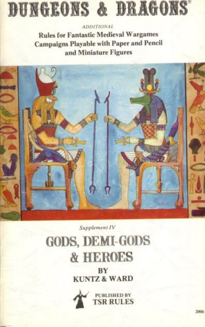## DUNGEONS & DRAGONS

**ADDITIONAL Rules for Fantastic Medieval Wargames Campaigns Playable with Paper and Pencil** and Miniature Figures



Supplement IV

### **GODS, DEMI-GODS** & HEROES

BY **KUNTZ & WARD** 

**PUBLISHED BY TSR RULES**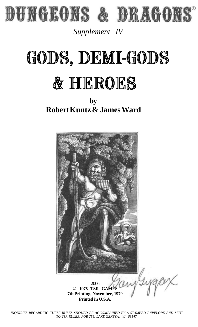

*Supplement IV*

# GODS, DEMI-GODS

### & HEROES

**by Robert Kuntz & James Ward**

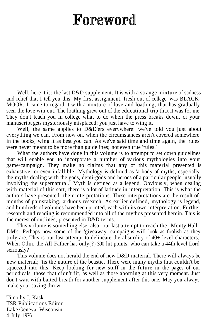### Foreword

Well, here it is: the last D&D supplement. It is with a strange mixture of sadness and relief that I tell you this. My first assignment, fresh out of college, was BLACK-MOOR. I came to regard it with a mixture of love and loathing, that has gradually seen the love win out. The loathing grew out of the educational trip that it was for me. They don't teach you in college what to do when the press breaks down, or your manuscript gets mysteriously misplaced; you just have to wing it.

Well, the same applies to D&D'ers everywhere: we've told you just about everything we can. From now on, when the circumstances aren't covered somewhere in the books, wing it as best you can. As we've said time and time again, the 'rules' were never meant to be more than guidelines; not even true 'rules.'

What the authors have done in this volume is to attempt to set down guidelines that will enable you to incorporate a number of various mythologies into your game/campaign. They make no claims that any of this material presented is exhaustive, or even infallible. Mythology is defined as 'a body of myths, especially: the myths dealing with the gods, demi-gods and heroes of a particular people, usually involving the supernatural.' Myth is defined as a legend. Obviously, when dealing with material of this sort, there is a lot of latitude in interpretation. This is what the authors have presented: their interpretations. These interpretations are the result of months of painstaking, arduous research. As earlier defined, mythology is legend, and hundreds of volumes have been printed, each with its own interpretation. Further research and reading is recommended into all of the mythos presented herein. This is the merest of outlines, presented in D&D terms.

This volume is something else, also: our last attempt to reach the "Monty Hall" DM's. Perhaps now some of the 'giveaway' campaigns will look as foolish as they truly are. This is our last attempt to delineate the absurdity of 40+ level characters. When Odin, the All-Father has only(?) 300 hit points, who can take a 44th level Lord seriously?

This volume does not herald the end of new D&D material. There will always be new material; 'tis the nature of the beastie. There were many myths that couldn't be squeezed into this. Keep looking for new stuff in the future in the pages of our periodicals, those that didn't fit, as well as those aborning at this very moment. Just don't wait with baited breath for another supplement after this one. May you always make your saving throw.

Timothy J. Kask TSR Publications Editor Lake Geneva, Wisconsin 4 July 1976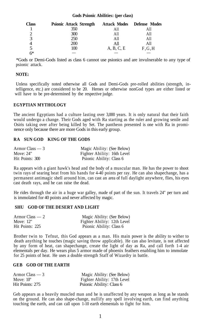#### **Gods Psionic Abilities: (per class)**

| <b>Class</b>   | <b>Psionic Attack Strength</b> |            | <b>Attack Modes</b> Defense Modes |
|----------------|--------------------------------|------------|-----------------------------------|
|                | 350                            | All        |                                   |
| っ              | 300                            | All        | All                               |
| $\overline{3}$ | 250                            | All        | All                               |
|                | 200                            | All        | All                               |
| 5              | 100                            | A, B, C, E | F.G.H                             |
| 6*             |                                |            |                                   |

\*Gods or Demi-Gods listed as class 6 cannot use psionics and are invulnerable to any type of psionic attack.

#### **NOTE:**

Unless specifically noted otherwise all Gods and Demi-Gods pre-rolled abilities (strength, intelligence, etc.) are considered to be 20. Heroes or otherwise nonGod types are either listed or will have to be pre-determined by the respective judge.

#### **EGYPTIAN MYTHOLOGY**

The ancient Egyptians had a culture lasting over 3,000 years. It is only natural that their faith would undergo a change. Their Gods aged with Ra starting as the ruler and growing senile and Osiris taking over after being killed by Set. The pantheon presented is one with Ra in prominence only because there are more Gods in this early group.

#### **RA SUN GOD KING OF THE GODS**

| Armor Class $-3$ | Magic Ability: (See Below)  |
|------------------|-----------------------------|
| Move: $24"$      | Fighter Ability: 16th Level |
| Hit Points: 300  | Psionic Ability: Class 6    |

Ra appears with a giant hawk's head and the body of a muscular man. He has the power to shoot twin rays of searing heat from his hands for 4-40 points per ray. He can also shapechange, has a permanent antimagic shell around him, can cast an area of full daylight anywhere, flies, his eyes cast death rays, and he can raise the dead.

He rides through the air in a huge war galley, made of part of the sun. It travels 24" per turn and is immolated for 40 points and never affected by magic.

#### **SHU GOD OF THE DESERT AND LIGHT**

| Armor Class — 2 | Magic Ability: (See Below)  |
|-----------------|-----------------------------|
| Move: 12"       | Fighter Ability: 12th Level |
| Hit Points: 225 | Psionic Ability: Class 6    |

Brother twin to Tefnut, this God appears as a man. His main power is the ability to wither to death anything he touches (magic saving throw applicable). He can also levitate, is not affected by any form of heat, can shapechange, create the light of day as Ra, and call forth 1-4 air elementals per day. He wears plus 5 armor made of phoenix feathers enabling him to immolate for 25 points of heat. He uses a double strength Staff of Wizardry in battle.

#### **GEB GOD OF THE EARTH**

| Armor Class $-3$ | Magic Ability: (See Below)  |
|------------------|-----------------------------|
| Move: $10"$      | Fighter Ability: 17th Level |
| Hit Points: 275  | Psionic Ability: Class 6    |

Geb appears as a heavily muscled man and he is unaffected by any weapon as long as he stands on the ground. He can also shape-change, nullify any spell involving earth, can find anything touching the earth, and can call upon 1-10 earth elementals to fight for him.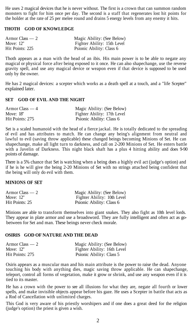He uses 2 magical devices that he is never without. The first is a crown that can summon random monsters to fight for him once per day. The second is a staff that regenerates lost hit points for the holder at the rate of 25 per melee round and drains 5 energy levels from any enemy it hits.

#### **THOTH GOD OF KNOWLEDGE**

| Armor Class — 2 | Magic Ability: (See Below)  |
|-----------------|-----------------------------|
| Move: 12"       | Fighter Ability: 15th Level |
| Hit Points: 225 | Psionic Ability: Class 6    |

Thoth appears as a man with the head of an ibis. His main power is to be able to negate any magical or physical force after being exposed to it once. He can also shapechange, use the reverse gravity spell, and use any magical device or weapon even if that device is supposed to be used only by the owner.

He has 2 magical devices: a scepter which works as a death spell at a touch, and a "life Scepter" explained later.

#### **SET GOD OF EVIL AND THE NIGHT**

| Armor Class $-4$ | Magic Ability: (See Below)  |
|------------------|-----------------------------|
| Move: 18"        | Fighter Ability: 17th Level |
| Hit Points: 275  | Psionic Ability: Class 6    |

Set is a scaled humanoid with the head of a fierce jackal. He is totally dedicated to the spreading of evil and has attributes to match. He can change any being's alignment from neutral and lawful to evil (saving throw applicable) these changed beings becoming Minions of Set. He can shapechange, make all light turn to darkness, and call on 2-200 Minions of Set. He enters battle with a Javelin of Darkness. This night black shaft has a plus 4 hitting ability and does 9-90 points of damage.

There is a 5% chance that Set is watching when a being does a highly evil act (judge's option) and if he is he will give the being 2-20 Minions of Set with no strings attached being confident that the being will only do evil with them.

#### **MINIONS OF SET**

| Armor Class — 2 | Magic Ability: (See Below)  |
|-----------------|-----------------------------|
| Move: 12"       | Fighter Ability: 10th Level |
| Hit Points: 25  | Psionic Ability: Class 6    |

Minions are able to transform themselves into giant snakes. They also fight as 10th level lords. They appear in plate armor and use a broadsword. They are fully intelligent and often act as gobetween for Set and man. These beings never check morale.

#### **OSIRIS GOD OF NATURE AND THE DEAD**

| Armor Class $-2$ | Magic Ability: (See Below)  |
|------------------|-----------------------------|
| Move: 12"        | Fighter Ability: 16th Level |
| Hit Points: 275  | Psionic Ability: Class 5    |

Osiris appears as a muscular man and his main attribute is the power to raise the dead. Anyone touching his body with anything dies, magic saving throw applicable. He can shapechange, teleport, control all forms of vegetation, make it grow or shrink, and use any weapon even if it is tied to its master.

He has a crown with the power to see all illusions for what they are, negate all fourth or lower spells, and make invisible objects appear before his gaze. He uses a Scepter in battle that acts as a Rod of Cancellation with unlimited charges.

This God is very aware of his priestly worshipers and if one does a great deed for the religion (judge's option) the priest is given a wish.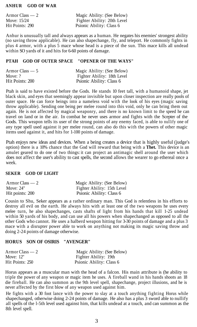#### **ANHUR GOD OF WAR**

| Armor Class — 2 | Magic Ability: (See Below)  |
|-----------------|-----------------------------|
| Move: 15/24     | Fighter Ability: 20th Level |
| Hit Points: 290 | Psionic Ability: Class 6    |

Anhur is unusually tall and always appears as a human. He negates his enemies' strongest ability (no saving throw applicable). He can also shapechange, fly, and teleport. He commonly fights in plus 4 armor, with a plus 5 mace whose head is a piece of the sun. This mace kills all undead within SO yards of it and hits for 6-60 points of damage.

#### **PTAH GOD OF OUTER SPACE "OPENER OF THE WAYS"**

| Armor Class — 5 | Magic Ability: (See Below)  |
|-----------------|-----------------------------|
| Move: ?         | Fighter Ability: 18th Level |
| Hit Points: 200 | Psionic Ability: Class 6    |

Ptah is said to have existed before the Gods. He stands 10 feet tall, with a humanoid shape, jet black skin, and eyes that seemingly appear invisible but upon closer inspection are really pools of outer space. He can force beings into a nameless void with the look of his eyes (magic saving throw applicable). Sending one being per melee round into this void, only he can bring them out again. He is not affected by magical weaponry, and there is no known limit to the speed he can travel on land or in the air. In combat he never uses armor and fights with the Scepter of the Gods. This weapon tells its user of the strong points of any enemy faced, is able to nullify one of any type spell used against it per melee round, can also do this with the powers of other magic items used against it, and hits for 1-100 points of damage.

Ptah enjoys new ideas and devices. When a being creates a device that is highly useful (judge's option) there is a 10% chance that the God will reward that being with a **Thet.** This device is an amulet geared to do one of two things: it can project an antimagic shell around the user which does not affect the user's ability to cast spells, the second allows the wearer to go ethereal once a week.

#### **SEKER GOD OF LIGHT**

| Armor Class $-2$ | Magic Ability: (See Below)  |
|------------------|-----------------------------|
| Move: $24"$      | Fighter Ability: 15th Level |
| Hit points: 200  | Psionic Ability: Class 6    |

Cousin to Shu, Seker appears as a rather ordinary man. This God is relentless in his efforts to destroy all evil on the earth. He always hits with at least one of the two weapons he uses every melee turn, he also shapechanges, casts shafts of light from his hands that kill 1-25 undead within 50 yards of his body, and can use all his powers when shapechanged as opposed to all the other Gods who cannot. He uses a halberd weapon hitting for 3-30 points of damage and a plus 3 mace with a disrupter power able to work on anything not making its magic saving throw and doing 2-24 points of damage otherwise.

#### **HORUS SON OF OSIRIS "AVENGER"**

| Armor Class — 2 | Magic Ability: (See Below) |
|-----------------|----------------------------|
| Move: 12"       | Fighter Ability: 19th      |
| Hit Points: 250 | Psionic Ability: Class 6   |

Horus appears as a muscular man with the head of a falcon. His main attribute is (he ability to triple the power of any weapon or magic item he uses. A fireball wand in his hands shoots an 18 die fireball. He can also summon as the 9th level spell, shapechange, project illusions, and he is never affected by the first blow of any weapon used against him.

He fights with a 30 foot lance with the power to slay at a touch anything fighting Horus while shapechanged, otherwise doing 2-24 points of damage. He also has a plus 3 sword able to nullify all spells of the l-5th level used against him, that kills undead at a touch, and can summon as the 8th level spell.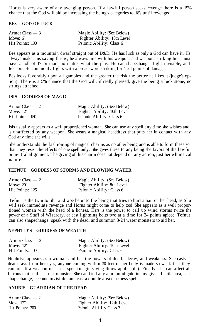Horus is very aware of any avenging person. If a lawful person seeks revenge there is a 15% chance that the God will aid by increasing the being's categories to 18's until revenged.

#### **BES GOD OF LUCK**

| Armor Class — 3 | Magic Ability: (See Below)  |
|-----------------|-----------------------------|
| Move: $6"$      | Fighter Ability: 10th Level |
| Hit Points: 190 | Psionic Ability: Class 6    |

Bes appears as a mountain dwarf straight out of D&D. He has luck as only a God can have it. He always makes his saving throw, he always hits with his weapon, and weapons striking him must have a roll of 17 or more no matter what the plus. He can shapechange, fight invisible, and teleport. He commonly fights with a broadsword striking for 4-24 points of damage.

Bes looks favorably upon all gambles and the greater the risk the better he likes it (judge's option). There is a 5% chance that the God will, if really pleased, give the being a luck stone, no strings attached.

#### **ISIS GODDESS OF MAGIC**

| Armor Class — 2 | Magic Ability: (See Below)  |  |
|-----------------|-----------------------------|--|
| Move: $12"$     | Fighter Ability: 10th Level |  |
| Hit Points: 150 | Psionic Ability: Class 6    |  |

Isis usually appears as a well proportioned woman. She can use any spell any time she wishes and is unaffected by any weapon. She wears a magical headdress that puts her in contact with any God any time she wills.

She understands the fashioning of magical charms as no other being and is able to form these so that they resist the effects of one spell only. She gives these to any being she favors of the lawful or neutral alignment. The giving of this charm does not depend on any action, just her whimsical nature.

#### **TEFNUT GODDESS OF STORMS AND FLOWING WATER**

| Armor Class $-2$ | Magic Ability: (See Below) |
|------------------|----------------------------|
| Move: $20"$      | Fighter Ability: 8th Level |
| Hit Points: 125  | Psionic Ability: Class 6   |

Tefnut is the twin to Shu and woe be unto the being that tries to hurt a hair on her head, as Shu will seek immediate revenge and Horus might come to help too! She appears as a well proportioned woman with the head of a lioness. Hers is the power to call up wind storms twice the power of a Staff of Wizardry, or cast lightning bolts two at a time for 24 points apiece. Tefnut can also shapechange, speak with the dead, and summon 3-24 water monsters to aid her.

#### **NEPHTLYS GODDESS OF WEALTH**

| Armor Class $-2$ | Magic Ability: (See Below)  |
|------------------|-----------------------------|
| Move: $12"$      | Fighter Ability: 10th Level |
| Hit Points: 100  | Psionic Ability: Class 6    |

Nephtlys appears as a woman and has the powers of death, decay, and weakness. She casts 2 death rays from her eyes, anyone coming within 30 feet of her body is made so weak that they cannot lift a weapon or cast a spell (magic saving throw applicable). Finally, she can affect all ferrous material as a rust monster. She can find any amount of gold in any given 1 mile area, can shapechange, become invisible, and cast a double area darkness spell.

#### **ANUBIS GUARDIAN OF THE DEAD**

| Armor Class $-2$ | Magic Ability: (See Below)  |
|------------------|-----------------------------|
| Move $12"$       | Fighter Ability: 12th Level |
| Hit Points: 200  | Psionic Ability Class 3     |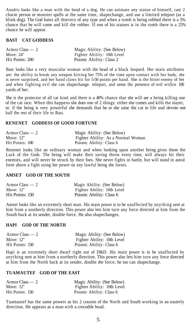Anubis looks like a man with the head of a dog. He can animate any statue of himself, cast 2 charm person or monster spells at the same time, shapechange, and use a limited teleport (as a blink dog). The God hates all thievery of any type and when a tomb is being robbed there is a 5% chance that he will come and kill the robber. If one of his statues is in the tomb there is a 25% chance he will appear.

#### **BAST CAT GODDESS**

| Armor Class — 2 | Magic Ability: (See Below)  |  |
|-----------------|-----------------------------|--|
| Move: 24"       | Fighter Ability: 10th Level |  |
| Hit Points: 200 | Psionic Ability: Class 2    |  |

Bast looks like a very muscular woman with the head of a black leopard. Her main attributes are: the ability to break any weapon hitting her 75% of the time upon contact with her body, she is never surprised, and her hand claws hit for 5-50 points per hand. She is the bitter enemy of Set and when fighting evil she can shapechange. teleport, and sense the presence of evil within 100 yards of her.

She is the protector of all cat kind and there is a 40% chance that she will see a being killing one of the cat race. When this happens she does one of 2 things: either she comes and kills the slayer, or. if the being is very powerful she demands that he or she raise the cat to life and devote one half the rest of their life to Bast.

#### **RENENET GODDESS OF GOOD FORTUNE**

| Armor Class $-2$ | Magic Ability: (See Below)         |
|------------------|------------------------------------|
| Move: $12"$      | Fighter Ability: As a Normal Woman |
| Hit Points: 100  | Psionic Ability: Class 6           |

Renenet looks like an ordinary woman and when looking upon another being gives them the Luck of the Gods. The being will make their saving throw every time, will always hit their enemies, and will never be struck by their foes. She never fights in battle, but will stand in astral form above a fight using her power on any lawful being she favors.

#### **AMSET GOD OF THE SOUTH**

| Armor Class — 2 | Magic Ability: (See Below)  |
|-----------------|-----------------------------|
| Move: 12"       | Fighter Ability: 10th Level |
| Hit Points: 150 | Psionic Ability: Class 6    |

Amset looks like an extremely short man. His main power is to be unaffected by anything sent at him from a southerly direction. This power also lets him turn any force directed at him from the South back at its sender, double force. He also shapechanges.

#### **HAPI GOD OF THE NORTH**

| Armor Class $-2$ | Magic Ability: (See Below)  |
|------------------|-----------------------------|
| Move: 12"        | Fighter Ability: 10th Level |
| Hit Points: 150  | Psionic Ability: Class 6    |

Hapi is an extremely short dwarf right out of D&D. His main power is to be unaffected by anything sent at him from a northerly direction. This power also lets him turn any force directed at him from the North back at its sender, double the force; he too can shapechange.

#### **TUAMAUTEF GOD OF THE EAST**

| $Armor Class - 2$ | Magic Ability: (See Below)  |
|-------------------|-----------------------------|
| Move: $12"$       | Fighter Ability: 10th Level |
| Hit Points: 150   | Psionic Ability: Class 6    |

Tuamautef has the same powers as his 2 cousins of the North and South working in an easterly direction. He appears as a man with a crocodile head.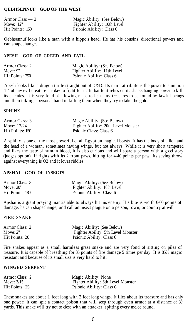#### **QEBHSENNUF GOD OF THE WEST**

| Armor Class $-2$ | Magic Ability: (See Below)  |
|------------------|-----------------------------|
| Move: $12"$      | Fighter Ability: 10th Level |
| Hit Points: 150  | Psionic Ability: Class 6    |

Qebhsennuf looks like a man with a hippo's head. He has his cousins' directional powers and can shapechange.

#### **APESH GOD OF GREED AND EVIL**

| Armor Class: 2  | Magic Ability: (See Below)  |
|-----------------|-----------------------------|
| Move: $9"$      | Fighter Ability: 11th Level |
| Hit Points: 250 | Psionic Ability: Class 6    |

Apesh looks like a dragon turtle straight out of D&D. Its main attribute is the power to summon 1-4 of any evil creature per day to fight for it. In battle it relies on its shapechanging power to kill its enemies. It is very fond of allowing maps to its many treasures to be found by lawful beings and then taking a personal hand in killing them when they try to take the gold.

#### **SPHINX**

| Armor Class: 3  | Magic Ability: (See Below)          |
|-----------------|-------------------------------------|
| Move: 12/24     | Fighter Ability: 20th Level Monster |
| Hit Points: 150 | Psionic Class: Class 6              |

A sphinx is one of the most powerful of all Egyptian magical beasts. It has the body of a lion and the head of a woman, sometimes having wings, but not always. While it is very short tempered and likes the taste of human blood, it is also curious and will spare a person with a good story (judges option). If fights with its 2 front paws, hitting for 4-40 points per paw. Its saving throw against everything is O2 and it loves riddles.

#### **APSHAI GOD OF INSECTS**

| Armor Class: 3  | Magic Ability: (See Below)  |
|-----------------|-----------------------------|
| Move: $20"$     | Fighter Ability: 10th Level |
| Hit Points: 180 | Psionic Ability: Class 6    |

Apshai is a giant praying mantis able to always hit his enemy. His bite is worth 6-60 points of damage, he can shapechange, and call an insect plague on a person, town, or country at will.

#### **FIRE SNAKE**

| Armor Class: 2 | Magic Ability: (See Below)         |
|----------------|------------------------------------|
| Move: $2"$     | Fighter Ability: 5th Level Monster |
| Hit Points: 20 | Psionic Ability: Class 6           |

Fire snakes appear as a small harmless grass snake and are very fond of sitting on piles of treasure. It is capable of breathing for 35 points of fire damage 5 times per day. It is 85% magic resistant and because of its small size is very hard to hit.

#### **WINGED SERPENT**

| Armor Class: 2 | Magic Ability: None                |
|----------------|------------------------------------|
| Move: $3/15$   | Fighter Ability: 6th Level Monster |
| Hit Points: 25 | Psionic Ability: Class 6           |

These snakes are about 1 foot long with 2 foot long wings. It flies about its treasure and has only one power; it can spit a contact poison that will seep through even armor at a distance of 30 yards. This snake will try not to close with an attacker, spitting every melee round.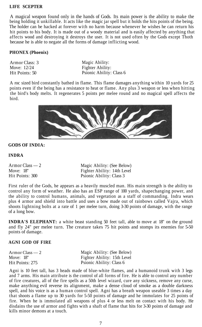#### **LIFE SCEPTER**

A magical weapon found only in the hands of Gods. Its main power is the ability to make the being holding it unkillable. It acts like the magic jar spell but it holds the hits points of the being. The holder can be hacked at forever with no harm because whenever he wishes he can return his hit points to his body. It is made out of a woody material and is easily affected by anything that affects wood and destroying it destroys the user. It is not used often by the Gods except Thoth because he is able to negate all the forms of damage inflicting wood.

#### **PHONEX (Phoenix)**

Armor Class: 3 Move: 12/24 Hit Points: 50 Magic Ability: Fighter Ability: Psionic Ability: Class 6

A roc sized bird constantly bathed in flame. This flame damages anything within 10 yards for 25 points even if the being has a resistance to heat or flame. Any plus 3 weapon or less when hitting the bird's body melts. It regenerates 5 points per melee round and no magical spell affects the bird.



#### **GODS OF INDIA:**

#### **INDRA**

| Armor Class $-2$ | Magic Ability: (See Below)  |  |
|------------------|-----------------------------|--|
| Move: 18"        | Fighter Ability: 14th Level |  |
| Hit Points: 300  | Psionic Ability: Class 3    |  |

First ruler of the Gods, he appears as a heavily muscled man. His main strength is the ability to control any form of weather. He also has an ESP range of 100 yards, shapechanging power, and the ability to control humans, animals, and vegetation as a staff of commanding. Indra wears plus 4 armor and shield into battle and uses a bow made out of rainbows called Vajra, which shoots lightning bolts at a rate of 1 per melee turn, doing 3-30 points of damage, with the range of a long bow.

**INDRA'S ELEPHANT:** a white beast standing 50 feet tall, able to move at 18" on the ground and fly 24" per melee turn. The creature takes 75 hit points and stomps its enemies for 5-50 points of damage.

#### **AGNI GOD OF FIRE**

| Armor Class — 2 | Magic Ability: (See Below)  |
|-----------------|-----------------------------|
| Move: 18"       | Fighter Ability: 15th Level |
| Hit Points: 275 | Psionic Ability: Class 6    |

Agni is 10 feet tall, has 3 heads made of blue-white flames, and a humanoid trunk with 3 legs and 7 arms. His main attribute is the control of all forms of fire. He is able to control any number of fire creatures, all of the fire spells as a 50th level wizard, cure any sickness, remove any curse, make anything evil reverse its alignment, make a dense cloud of smoke as a double darkness spell, and his voice is as a human control spell. Agni has a breath weapon useable 3 times a day that shoots a flame up to 30 yards for 5-50 points of damage and he immolates for 25 points of fire. When he is immolated all weapons of plus 4 or less melt on contact with his body. He disdains the use of armor and fights with a shaft of flame that hits for 3-30 points of damage and kills minor demons at a touch.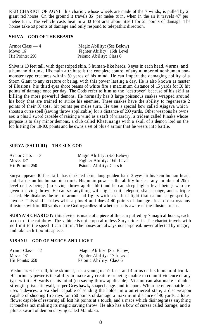RED CHARIOT OF AGNI: this chariot, whose wheels are made of the 7 winds, is pulled by 2 giant red horses. On the ground it travels 36" per melee turn, when in the air it travels 48" per melee turn. The vehicle casts heat in a 30 foot area about itself for 25 points of damage. The horses take 50 points of damage and only respond to telepathic direction.

#### **SHIVA GOD OF THE BEASTS**

| Armor Class — 4 | Magic Ability: (See Below)  |
|-----------------|-----------------------------|
| Move: $16"$     | Fighter Ability: 16th Level |
| Hit Points: 290 | Psionic Ability: Class 6    |

Shiva is 10 feet tall, with tiger striped skin, 5 human-like heads. 3 eyes in each head, 4 arms, and a humanoid trunk. His main attribute is the complete control of any number of nonhuman nonmonster type creatures within 50 yards of his mind. He can impart the damaging ability of a Storm Giant to any creature or being, with this power lasting a day. He is also known as master of illusions, his third eyes shoot beams of white fire a maximum distance of 15 yards for 30 hit points of damage once per day. The Gods refer to him as the "destroyer" because of his skill at killing the more powerful demons. He normally has 3 large poisonous snakes wrapped around his body that are trained to strike his enemies. These snakes have the ability to regenerate 2 points of their 30 total hit points per melee turn. He uses a special bow called Ajagava which shoots a curse spell (saving throw applicable) for a distance of 200 yards. Other weapons he owns are: a plus 3 sword capable of raising a wind as a staff of wizardry, a trident called Pinaka whose purpose is to slay minor demons, a club called Khatunanga with a skull of a demon lord on the lop hitting for 10-100 points and he owns a set of plus 4 armor that he wears into battle.

#### **SURYA (SALILRI) THE SUN GOD**

| Armor Class — 3 | Magic Ability: (See Below)  |
|-----------------|-----------------------------|
| Move: 18"       | Fighter Ability: 16th Level |
| Hit Points: 250 | Psionic Ability: Class 6    |

Surya appears 10 feet tall, has dark red skin, long golden hair. 3 eyes in his semihuman head, and 4 arms on his humanoid trunk. His main power is the ability to sleep any number of 20th level or less beings (no saving throw applicable) and he can sleep higher level beings who are given a saving throw. He can see anything with light on it, teleport, shapechange, and is triple hasted. He disdains the use of armor and fights with a shaft of light that cannot be grasped by anyone. This shaft strikes with a plus 4 and does 4-40 points of damage. It also destroys any illusions within 100 yards of the God regardless of whether he is aware of the illusion or not.

**SURYA'S CHARIOT:** this device is made of a piece of the sun pulled by 7 magical horses, each a color of the rainbow. The vehicle is not corporal unless Surya rides it. The chariot travels with no limit to the speed it can attain. The horses are always noncorporeal. never affected by magic, and take 25 hit points apiece.

#### **VISHNU GOD OF MERCY AND LIGHT**

| Armor Class — 2 | Magic Ability: (See Below)  |
|-----------------|-----------------------------|
| Move: $18"$     | Fighter Ability: 17th Level |
| Hit Points: 250 | Psionic Ability: Class 6    |

Vishnu is 6 feet tall, blue skinned, has a young man's face, and 4 arms on his humanoid trunk. His primary power is the ability to make any creature or being unable to commit violence of any type within 30 yards of his mind (no saving throw applicable). Vishnu can also make a double strength prismatic wall, as per **Greyhawk,** shapechange. and teleport. When he enters battle he uses 4 devices: a sea shell capable of sending the holder into an ethereal state, a disc weapon capable of shooting fire rays for 5-50 points of damage a maximum distance of 40 yards, a lotus flower capable of restoring all lost hit points at a touch, and a mace which disintegrates anything it touches not making its magic saving throw. He also has a bow of curses called Sarnge, and a plus 3 sword of demon slaying called Mandaka.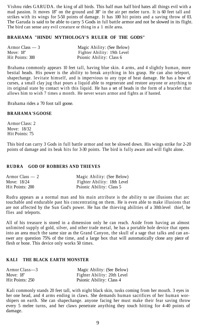Vishnu rides GARUDA. the king of all birds. This half man half bird hates all things evil with a mad passion. It moves 18" on the ground and 38" in the air per melee turn. It is 60 feet tall and strikes with its wings for 5-50 points of damage. It has 100 hit points and a saving throw of 03. The Garuda is said to be able to carry 5 Gods in full battle armor and not be slowed in its flight. The bird can sense any evil creature or thing in a 1 mile area.

#### **BRAHAMA "HINDU MYTHOLOGY'S RULER OF THE GODS"**

| Armor Class $-3$ | Magic Ability: (See Below)  |  |
|------------------|-----------------------------|--|
| Move: $18"$      | Fighter Ability: 19th Level |  |
| Hit Points: 300  | Psionic Ability: Class 6    |  |

Brahama commonly appears 10 feet tall, having blue skin. 4 arms, and 4 slightly human, more bestial heads. His power is the ability to break anything in his grasp. He can also teleport, shapechange. levitate himself, and is impervious to any type of heat damage. He has a bow of curses, a small clay jug that pours a liquid able to regenerate and restore anyone or anything to its original state by contact with this liquid. He has a set of beads in the form of a bracelet that allows him to wish 7 times a month. He never wears armor and fights as if hasted.

Brahama rides a 70 foot tall goose.

#### **BRAHAMA'S GOOSE**

Armor Class: 2 Move: 18/32 Hit Points: 75

This bird can carry 3 Gods in full battle armor and not be slowed down. His wings strike for 2-20 points of damage and its beak hits for 3-30 points. The bird is fully aware and will fight alone.

#### **RUDRA GOD OF ROBBERS AND THIEVES**

| Armor Class — 2 | Magic Ability: (See Below)  |
|-----------------|-----------------------------|
| Move: 18/24     | Fighter Ability: 18th Level |
| Hit Points: 200 | Psionic Ability: Class 5    |

Rudra appears as a normal man and his main attribute is the ability to use illusions that arc touchable and endurable past his concentrating on them. He is even able to make illusions that are not affected by the Sun God's power. He has the thieving abilities of a 30th level thief, he flies and teleports.

All of his treasure is stored in a dimension only he can reach. Aside from having an almost unlimited supply of gold, silver, and other trade metal, he has a portable hole device that opens into an area much the same size as the Grand Canyon, the skull of a sage that talks and can answer any question 75% of the time, and a large box that will automatically clone any piece of flesh or bone. This device only works 50 times.

#### **KALI THE BLACK EARTH MONSTER**

| Armor Class—3   | Magic Ability: (See Below)  |
|-----------------|-----------------------------|
| Move: 18"       | Fighter Ability: 20th Level |
| Hit Points: 250 | Psionic Ability: Class 4    |

Kali commonly stands 20 feet tall, with night black skin, tusks coming from her mouth. 3 eyes in her one head, and 4 arms ending in claws. She demands human sacrifices of her human worshipers on earth. She can shapechange. anyone facing her must make their fear saving throw every 5 melee turns, and her claws penetrate anything they touch hitting for 4-40 points of damage.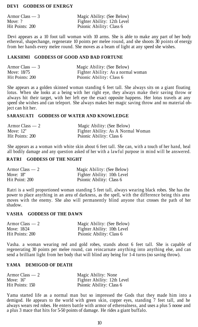#### **DEVI GODDESS OF ENERGY**

| Armor Class $-3$ | Magic Ability: (See Below)  |
|------------------|-----------------------------|
| Move: ?          | Fighter Ability: 12th Level |
| Hit Points: 200  | Psionic Ability: Class 6    |

Devi appears as a 10 foot tall woman with 10 arms. She is able to make any part of her body ethereal, shapechange, regenerate 10 points per melee round, and she shoots  $\overline{30}$  points of energy from her hands every melee round. She moves as a beam of light at any speed she wishes.

#### **LAKSHMI GODDESS OF GOOD AND BAD FORTUNE**

| Armor Class $-3$ | Magic Ability: (See Below)         |
|------------------|------------------------------------|
| Move: 18/75      | Fighter Ability: As a normal woman |
| Hit Points: 200  | Psionic Ability: Class 6           |

She appears as a golden skinned woman standing 6 feet tall. She always sits on a giant floating lotus. When she looks at a being with her right eye, they always make their saving throw or always hit their target, with her left eye the exact opposite happens. Her lotus travels at any speed she wishes and can teleport. She always makes her magic saving throw and no material object can hit her.

#### **SARASUATI GODDESS OF WATER AND KNOWLEDGE**

| Armor Class $-2$ | Magic Ability: (See Below)         |
|------------------|------------------------------------|
| Move: 12"        | Fighter Ability: As A Normal Woman |
| Hit Points: 200  | Psionic Ability: Class 6           |

She appears as a woman with white skin about 6 feet tall. She can, with a touch of her hand, heal all bodily damage and any question asked of her with a lawful purpose in mind will be answered.

#### **RATRI GODDESS OF THE NIGHT**

| Armor Class — 2 | Magic Ability: (See Below)  |
|-----------------|-----------------------------|
| Move: 18"       | Fighter Ability: 10th Level |
| Hit Point: 200  | Psionic Ability: Class 6    |

Ratri is a well proportioned woman standing 5 feet tall, always wearing black robes. She has the power to place anything in an area of darkness, as the spell, with the difference being this area moves with the enemy. She also will permanently blind anyone that crosses the path of her shadow.

#### **VASHA GODDESS OF THE DAWN**

| Armor Class $-2$ | Magic Ability: (See Below)  |
|------------------|-----------------------------|
| Move: 18/24      | Fighter Ability: 10th Level |
| Hit Points: 200  | Psionic Ability: Class 6    |

Vasha. a woman wearing red and gold robes, stands about 6 feet tall. She is capable of regenerating 30 points per melee round, can reincarnate anything into anything else, and can send a brilliant light from her body that will blind any being for 1-4 turns (no saving throw).

#### **YAMA DEMIGOD OF DEATH**

| Armor Class $-2$ | Magic Ability: None         |
|------------------|-----------------------------|
| Move: $16"$      | Fighter Ability: 12th Level |
| Hit Points: 150  | Psionic Ability: Class 6    |

Yama started life as a normal man but so impressed the Gods that they made him into a demigod. He appears to the world with green skin, copper eyes, standing 7 feet tall, and he always wears red robes. He enters battle with armor of etherealness, and uses a plus 5 noose and a plus 3 mace that hits for 5-50 points of damage. He rides a giant buffalo.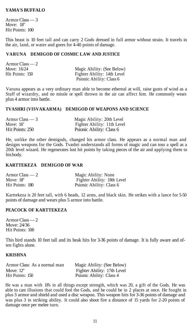#### **YAMA'S BUFFALO**

Armor Class — 3 Move: 18" Hit Points: 100

This beast is 10 feet tall and can carry 2 Gods dressed in full armor without strain. It travels in the air, land, or water and gores for 4-40 points of damage.

#### **VARUNA DEMIGOD OF COSMIC LAW AND JUSTICE**

| $Armor Class - 2$ |                             |
|-------------------|-----------------------------|
| Move: 16/24       | Magic Ability: (See Below)  |
| Hit Points: 150   | Fighter Ability: 14th Level |
|                   | Psionic Ability: Class 6    |

Varuna appears as a very ordinary man able to become ethereal at will, raise gusts of wind as a Staff of wizardry, and no missle or spell thrown in the air can affect him. He commonly wears plus 4 armor into battle.

#### **TVASHRI (VISVAKARMA) DEMIGOD OF WEAPONS AND SCIENCE**

| Armor Class $-3$ | Magic Ability: 20th Level   |
|------------------|-----------------------------|
| Move: $16"$      | Fighter Ability: 11th Level |
| Hit Points: 250  | Psionic Ability: Class 6    |

He, unlike the other demigods, changed his armor class. He appears as a normal man and designs weapons for the Gods. Tvashri understands all forms of magic and can toss a spell as a 20th level wizard. He regenerates lost hit points by taking pieces of the air and applying them to his body.

#### **KARTTEKEZA DEMIGOD OF WAR**

| Armor Class — 2 | Magic Ability: None         |
|-----------------|-----------------------------|
| Move: 18"       | Fighter Ability: 18th Level |
| Hit Points: 180 | Psionic Ability: Class 6    |

Karttekeza is 20 feet tall, with 6 heads, 12 arms, and black skin. He strikes with a lance for 5-50 points of damage and wears plus 5 armor into battle.

#### **PEACOCK OF KARTTEKEZA**

Armor Class — 2 Move: 24/36 Hit Points: 100

This bird stands 10 feet tall and its beak hits for 3-36 points of damage. It is fully aware and often fights alone.

#### **KRISHNA**

| Armor Class: As a normal man | Magic Ability: (See Below)  |
|------------------------------|-----------------------------|
| Move: 12"                    | Fighter Ability: 17th Level |
| Hit Points: 150              | Psionic Ability: Class 4    |

He was a man with 18's in all things except strength, which was 20, a gift of the Gods. He was able to cast illusions that could fool the Gods, and he could be in 2 places at once. He fought in plus 3 armor and shield and used a disc weapon. This weapon hits for 3-36 points of damage and was plus 3 in striking ability. It could also shoot fire a distance of 15 yards for 2-20 points of damage once per melee turn.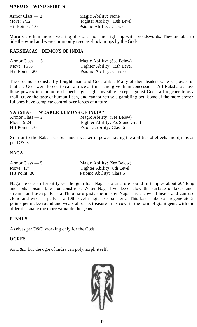#### **MARUTS WIND SPIRITS**

| Armor Class $-2$ | Magic Ability: None         |
|------------------|-----------------------------|
| Move: $9/12$     | Fighter Ability: 10th Level |
| Hit Points: 100  | Psionic Ability: Class 6    |

Maruts are humanoids wearing plus 2 armor and fighting with broadswords. They are able to ride the wind and were commonly used as shock troops by the Gods.

#### **RAKSHASAS DEMONS OF INDIA**

| Armor Class $-5$ | Magic Ability: (See Below)  |
|------------------|-----------------------------|
| Move: 18/36      | Fighter Ability: 15th Level |
| Hit Points: 200  | Psionic Ability: Class 6    |

These demons constantly fought man and Gods alike. Many of their leaders were so powerful that the Gods were forced to call a truce at times and give them concessions. All Rakshasas have these powers in common: shapechange, fight invisible except against Gods, all regenerate as a troll, crave the taste of human flesh, and cannot refuse a gambling bet. Some of the more powerful ones have complete control over forces of nature.

#### **YAKSHAS "WEAKER DEMONS OF INDIA"**

| Armor Class $-2$ | Magic Ability: (See Below)      |
|------------------|---------------------------------|
| Move: $9/24$     | Fighter Ability: As Stone Giant |
| Hit Points: 50   | Psionic Ability: Class 6        |

Similar to the Rakshasas but much weaker in power having the abilities of efreets and djinns as per D&D.

#### **NAGA**

| Armor Class $-5$ | Magic Ability: (See Below) |
|------------------|----------------------------|
| Move: $15"$      | Fighter Ability: 6th Level |
| Hit Point: 36    | Psionic Ability: Class 6   |

Naga are of 3 different types: the guardian Naga is a creature found in temples about 20" long and spits poison, bites, or constricts; Water Naga live deep below the surface of lakes and streams and use spells as a Thaumaturgist; the master Naga has 7 cowled heads and can use cleric and wizard spells as a 10th level magic user or cleric. This last snake can regenerate 5 points per melee round and wears all of its treasure in its cowl in the form of giant gems with the older the snake the more valuable the gems.

#### **RIBHUS**

As elves per D&D working only for the Gods.

#### **OGRES**

As D&D but the ogre of India can polymorph itself.

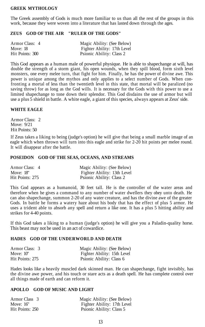#### **GREEK MYTHOLOGY**

The Greek assembly of Gods is much more familiar to us than all the rest of the groups in this work, because they were woven into a literature that has lasted down through the ages.

#### **ZEUS GOD OF THE AIR "RULER OF THE GODS"**

| Armor Class: 4  | Magic Ability: (See Below)  |
|-----------------|-----------------------------|
| Move: 18        | Fighter Ability: 17th Level |
| Hit Points: 300 | Psionic Ability: Class 2    |

This God appears as a human male of powerful physique. He is able to shapechange at will, has double the strength of a storm giant, his open wounds, when they spill blood, form sixth level monsters, one every melee turn, that fight for him. Finally, he has the power of divine awe. This power is unique among the mythos and only applies to a select number of Gods. When confronting a mortal of less than the twentieth level in this state, that mortal will be paralized (no saving throw) for as long as the God wills. It is necessary for the Gods with this power to use a limited shapechange to tone down their splendor. This God disdains the use of armor but will use a plus 5 shield in battle. A white eagle, a giant of this species, always appears at Zeus' side.

#### **WHITE EAGLE**

Armor Class: 2 Move: 9/21 Hit Points: 50

If Zeus takes a liking to being (judge's option) he will give that being a small marble image of an eagle which when thrown will turn into this eagle and strike for 2-20 hit points per melee round. It will disappear after the battle.

#### **POSEIDON GOD OF THE SEAS, OCEANS, AND STREAMS**

| Armor Class: 4  | Magic Ability: (See Below)  |
|-----------------|-----------------------------|
| Move: $18"$     | Fighter Ability: 13th Level |
| Hit Points: 275 | Psionic Ability: Class 2    |

This God appears as a humanoid, 30 feet tall. He is the controller of the water areas and therefore when he gives a command to any number of water dwellers they obey unto death. He can also shapechange, summon 2-20 of any water creature, and has the divine awe of the greater Gods. In battle he forms a watery haze about his body that has the effect of plus 5 armor. He uses a trident able to absorb any spell and return a like one. It has a plus 5 hitting ability and strikes for 4-40 points.

If this God takes a liking to a human (judge's option) he will give you a Paladin-quality horse. This beast may not be used in an act of cowardice.

#### **HADES GOD OF THE UNDERWORLD AND DEATH**

| Armor Class: 3  | Magic Ability: (See Below)  |
|-----------------|-----------------------------|
| Move: $10"$     | Fighter Ability: 15th Level |
| Hit Points: 275 | Psionic Ability: Class 6    |

Hades looks like a heavily muscled dark skinned man. He can shapechange, fight invisibly, has the divine awe power, and his touch or stare acts as a death spell. He has complete control over all things made of earth and can reform it.

#### **APOLLO GOD OF MUSIC AND LIGHT**

| Armor Class 3   | Magic Ability: (See Below)  |
|-----------------|-----------------------------|
| Move: $16"$     | Fighter Ability: 17th Level |
| Hit Points: 250 | Psionic Ability: Class 5    |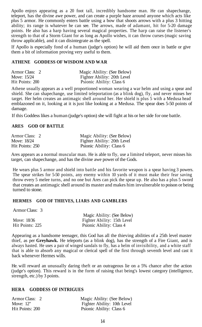Apollo enjoys appearing as a 20 foot tall, incredibly handsome man. He can shapechange, teleport, has the divine awe power, and can create a purple haze around anyone which acts like plus 5 armor. He commonly enters battle using a bow that shoots arrows with a plus 3 hitting ability; its range is whatever he can see. The arrows, made of adamant, hit for 5-20 damage points. He also has a harp having several magical properties. The harp can raise the listener's strength to that of a Storm Giant for as long as Apollo wishes, it can throw curses (magic saving throw applicable), and it can disintegrate as the spell.

If Apollo is especially fond of a human (judge's option) he will aid them once in battle or give them a bit of information proving very useful to them.

#### **ATHENE GODDESS OF WISDOM AND WAR**

| Armor Class: 2  | Magic Ability: (See Below)  |
|-----------------|-----------------------------|
| Move: 15/24     | Fighter Ability: 20th Level |
| Hit Points: 200 | Psionic Ability: Class 6    |

Athene usually appears as a well proportioned woman wearing a war helm and using a spear and shield. She can shapechange, use limited teleportation (as a blink dog), fly, and never misses her target. Her helm creates an antimagic shell around her. Her shield is plus 5 with a Medusa head emblazoned on it, looking at it is just like looking at a Medusa. The spear does 5-50 points of damage.

If this Goddess likes a human (judge's option) she will fight at his or her side for one battle.

#### **ARES GOD OF BATTLE**

| Armor Class: 2  | Magic Ability: (See Below)  |
|-----------------|-----------------------------|
| Move: 18/24     | Fighter Ability: 20th Level |
| Hit Points: 250 | Psionic Ability: Class 6    |

Ares appears as a normal muscular man. He is able to fly, use a limited teleport, never misses his target, can shapechange, and has the divine awe power of the Gods.

He wears plus 5 armor and shield into battle and his favorite weapon is a spear having 3 powers. The spear strikes for 5-50 points, any enemy within 10 yards of it must make their fear saving throw every 5 melee turns, and no one but Ares can pick the spear up. He also has a plus 5 sword that creates an antimagic shell around its master and makes him invulnerable to poison or being turned to stone.

#### **HERMES GOD OF THIEVES, LIARS AND GAMBLERS**

Armor Class: 3

|                 | Magic Ability: (See Below)  |
|-----------------|-----------------------------|
| Move: 18/36     | Fighter Ability: 15th Level |
| Hit Points: 225 | Psionic Ability: Class 4    |

Appearing as a handsome teenager, this God has all the thieving abilities of a 25th level master thief, as per **Greyhawk.** He teleports (as a blink dog), has the strength of a Fire Giant, and is always hasted. He uses a pair of winged sandals to fly, has a helm of invisibility, and a white staff that is able to absorb any magical or clerical spell of the first through seventh level and cast it back whenever Hermes wills.

He. will reward an unusually daring theft or an outrageous lie on a 5% chance after the action (judge's option). This reward is in the form of raising that being's lowest category (intelligence, strength, etc.) by 3 points.

#### **HERA GODDESS OF INTRIGUES**

| Armor Class:    | Magic Ability: (See Below)  |
|-----------------|-----------------------------|
| Move: $12"$     | Fighter Ability: 10th Level |
| Hit Points: 200 | Psionic Ability: Class 6    |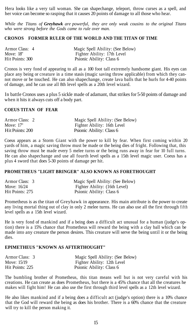Hera looks like a very tall woman. She can shapechange, teleport, throw curses as a spell, and her voice can become so rasping that it causes 20 points of damage to all those who hear.

*While the Titans of Greyhawk are powerful, they are only weak cousins to the original Titans who were strong before the Gods came to rule over man.*

#### **CRONOS FORMER RULER OF THE WORLD AND THE TITAN OF TIME**

| Armor Class: 4  | Magic Spell Ability: (See Below) |
|-----------------|----------------------------------|
| Move: 18"       | Fighter Ability: 17th Level      |
| Hit Points: 300 | Psionic Ability: Class 6         |

Cronos is very fond of appearing to all as a 100 foot tall extremely handsome giant. His eyes can place any being or creature in a time stasis (magic saving throw applicable) from which they cannot move or be touched. He can also shapechange, create lava balls that he hurls for 4-40 points of damage, and he can use all 8th level spells as a 20th level wizard.

In battle Cronos uses a plus 5 sickle made of adamant, that strikes for 5-50 points of damage and when it hits it always cuts off a body part.

#### **COEUS TITAN OF FEAR**

| Armor Class: 2  | Magic Spell Ability: (See Below) |
|-----------------|----------------------------------|
| Move: 17"       | Fighter Ability: 16th Level      |
| Hit Points: 200 | Psionic Ability: Class 6         |

Coeus appears as a Storm Giant with the power to kill by fear. When first coming within 20 yards of him, a magic saving throw must be made or the being dies of fright. Following that, this saving throw must be made every 5 melee turns or the being runs away in fear for 10 full turns. He can also shapechange and use all fourth level spells as a 15th level magic user. Coeus has a plus 4 sword that does 5-30 points of damage per hit.

#### **PROMETHEUS "LIGHT BRINGER" ALSO KNOWN AS FORETHOUGHT**

| Armor Class: 3  | Magic Spell Ability: (See Below) |
|-----------------|----------------------------------|
| Move: 16/24     | Fighter Ability: (16th Level)    |
| Hit Points: 275 | Psionic Ability: Class 6         |

Prometheus is as the titan of Greyhawk in appearance. His main attribute is the power to create any living mortal thing out of clay in only 2 melee turns. He can also use all the first through fifth level spells as a 15th level wizard.

He is very fond of mankind and if a being does a difficult act unusual for a human (judge's option) there is a 15% chance that Prometheus will reward the being with a clay ball which can be made into any creature the person desires. This creature will serve the being until it or the being dies.

#### **EPIMETHEUS "KNOWN AS AFTERTHOUGHT"**

| Armor Class: 3  | Magic Spell Ability: (See Below) |
|-----------------|----------------------------------|
| Move: 15/19     | Fighter Ability: 12th Level      |
| Hit Points: 225 | Psionic Ability: Class 6         |

The bumbling brother of Prometheus, this titan means well but is not very careful with his creations. He can create as does Prometheus, but there is a 45% chance that all the creatures he makes will fight him! He can also use the first through third level spells as a 12th level wizard.

He also likes mankind and if a being does a difficult act (judge's option) there is a 10% chance that the God will reward the being as does his brother. There is a 60% chance that the creature will try to kill the person making it.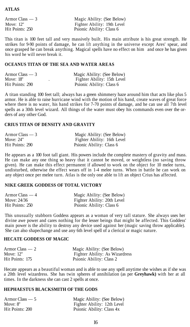#### **ATLAS**

Armor Class — 3 Magic Ability: (See Below)<br>Move: 12" Fighter Ability: 19th Level Move: 12" Fighter Ability: 19th Level<br>
Hit Points: 250 Festival Psionic Ability: Class 6 Psionic Ability: Class 6

This titan is 100 feet tall and very massively built. His main attribute is his great strength. He strikes for 9-90 points of damage, he can lift anything in the universe except Ares' spear, and once grasped he can break anything. Magical spells have no effect on him and once he has given his word he will never break it.

#### **OCEANUS TITAN OF THE SEA AND WATER AREAS**

| Armor Class — 3 | Magic Ability: (See Below)  |
|-----------------|-----------------------------|
| Move: 18"       | Fighter Ability: 15th Level |
| Hit Points: 290 | Psionic Ability: Class 6    |

A titan standing 100 feet tall; always has a green shimmery haze around him that acts like plus 5 armor. He is able to raise hurricane wind with the motion of his hand, create waves of great force where there is no water, his hand strikes for 7-70 points of damage, and he can use all 7th level spells as a 30th level wizard. All things of the water must obey his commands even over the orders of any other God.

#### **CRIUS TITAN OF DENSITY AND GRAVITY**

| Armor Class $-3$ | Magic Ability: (See Below)  |
|------------------|-----------------------------|
| Move: $24"$      | Fighter Ability: 16th Level |
| Hit Points: 290  | Psionic Ability: Class 6    |

He appears as a 100 foot tall giant. His powers include the complete mastery of gravity and mass. He can make any one thing so heavy that it cannot be moved, or weightless (no saving throw given). He can make this effect permanent if allowed to work on the object for 10 melee turns, undisturbed, otherwise the effect wears off in 1-4 melee turns. When in battle he can work on any object once per melee turn. Atlas is the only one able to lift an object Crius has affected.

#### **NIKE GREEK GODDESS OF TOTAL VICTORY**

| Armor Class $-4$ | Magic Ability: (See Below)  |  |
|------------------|-----------------------------|--|
| Move: 24/36      | Fighter Ability: 20th Level |  |
| Hit Points: 250  | Psionic Ability: Class 6    |  |

This unusually stubborn Goddess appears as a woman of very tall stature. She always uses her divine awe power and cares nothing for the lesser beings that might be affected. This Goddess' main power is the ability to destroy any device used against her (magic saving throw applicable). She can also shapechange and use any 6th level spell of a clerical or magic nature.

#### **HECATE GODDESS OF MAGIC**

| Armor Class — 2 | Magic Ability: (See Below)     |
|-----------------|--------------------------------|
| Move: $12"$     | Fighter Ability: As Wizardress |
| Hit Points: 175 | Psionic Ability: Class 2       |

Hecate appears as a beautiful woman and is able to use any spell anytime she wishes as if she was a 20th level wizardress. She has twin spheres of annihilation (as per **Greyhawk)** with her at all times. In the darkness she can cast 2 spells at once.

#### **HEPHAESTUS BLACKSMITH OF THE GODS**

| Armor Class — 5 | Magic Ability: (See Below)  |
|-----------------|-----------------------------|
| Move: 8"        | Fighter Ability: 12th Level |
| Hit Points: 200 | Psionic Ability: Class 4x   |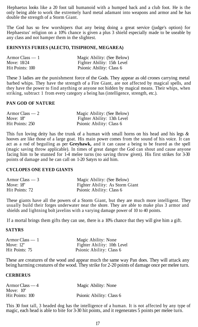Hephaetus looks like a 20 foot tall humanoid with a humped back and a club foot. He is the only being able to work the extremely hard metal adamant into weapons and armor and he has double the strength of a Storm Giant.

The God has so few worshipers that any being doing a great service (judge's option) for Hephaestus' religion on a 10% chance is given a plus 3 shield especially made to be useable by any class and not hamper them in the slightest.

#### **ERINNYES FURIES (ALECTO, TISIPHONE, MEGAREA)**

| Armor Class — 1 | Magic Ability: (See Below)  |
|-----------------|-----------------------------|
| Move: 18/24     | Fighter Ability: 15th Level |
| Hit Points: 100 | Psionic Ability: Class 6    |

These 3 ladies are the punishment force of the Gods. They appear as old crones carrying metal barbed whips. They have the strength of a Fire Giant, are not affected by magical spells, and they have the power to find anything or anyone not hidden by magical means. Their whips, when striking, subtract 1 from every category a being has (intelligence, strength, etc.).

#### **PAN GOD OF NATURE**

| Armor Class $-2$ | Magic Ability: (See Below)  |  |
|------------------|-----------------------------|--|
| Move: 18"        | Fighter Ability: 13th Level |  |
| Hit Points: 250  | Psionic Ability: Class 6    |  |

This fun loving deity has the trunk of a human with small horns on his head and his legs *&* hooves are like those of a large goat. His main power comes from the sound of his voice. It can act as a rod of beguiling as per **Greyhawk,** and it can cause a being to be feared as the spell (magic saving throw applicable). In times of great danger the God can shout and cause anyone facing him to be stunned for 1-4 melee turns (no saving throw given). His first strikes for 3-30 points of damage and he can call on 1-20 Satyrs to aid him.

#### **CYCLOPES ONE EYED GIANTS**

| Armor Class $-3$ | Magic Ability: (See Below)      |
|------------------|---------------------------------|
| Move: $18"$      | Fighter Ability: As Storm Giant |
| Hit Points: 72   | Psionic Ability: Class 6        |

These giants have all the powers of a Storm Giant, but they are much more intelligent. They usually build their forges underwater near the shore. They are able to make plus 3 armor and shields and lightning bolt javelins with a varying damage power of 10 to 40 points.

If a mortal brings them gifts they can use, there is a 10% chance that they will give him a gift.

#### **SATYRS**

| Armor Class $-1$ | Magic Ability: None         |
|------------------|-----------------------------|
| Move: $12"$      | Fighter Ability: 10th Level |
| Hit Points: 75   | Psionic Ability: Class 6    |

These are creatures of the wood and appear much the same way Pan does. They will attack any being harming creatures of the wood. They strike for 2-20 points of damage once per melee turn.

#### **CERBERUS**

| $Armor Class - 4$ | Magic Ability: None      |  |
|-------------------|--------------------------|--|
| Move: $10"$       |                          |  |
| Hit Points: 100   | Psionic Ability: Class 6 |  |

This 30 foot tall, 3 headed dog has the intelligence of a human. It is not affected by any type of magic, each head is able to bite for 3-30 hit points, and it regenerates 5 points per melee turn.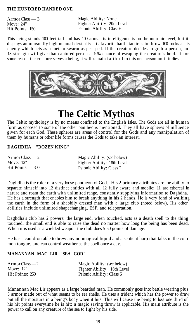#### **THE HUNDRED HANDED ONE**

Armor Class — 3 Move: 24" Hit Points: 150

Magic Ability: None Fighter Ability: 20th Level Psionic Ability: Class 6

This being stands 100 feet tall and has 100 arms. Its intelligence is on the moronic level, but it displays an unusually high manual dexterity. Its favorite battle tactic is to throw 100 rocks at its enemy which acts as a meteor swarm as per spell. If the creature decides to grab a person, an 18 strength will give that captured person a 10% chance of escaping the creature's hold. If for some reason the creature serves a being, it will remain faithful to this one person until it dies.



### **The Celtic Mythos**

The Celtic mythology is by no means confined to the English Isles. The Gods are all in human form as opposed to some of the other pantheons mentioned. They all have spheres of influence given for each God. These spheres are areas of control for the Gods and any manipulation of them by humans or other life forms causes the Gods to take an interest.

#### **DAGHDHA "DOZEN KING"**

| $ArmorClass - 2$  | Magic Ability: (see below)  |
|-------------------|-----------------------------|
| Move: 12"         | Fighter Ability: 18th Level |
| Hit Points $-300$ | Psionic Ability: Class 2    |

Daghdha is the ruler of a very loose pantheon of Gods. His 2 primary attributes are the ability to separate himself into 12 distinct entities with all 12 fully aware and mobile; 11 are ethereal in nature and roam the earth with unlimited range, constantly supplying information to Daghdha. He has a strength that enables him to break anything in his 2 hands. He is very fond of walking the earth in the form of a shabbily dressed man with a large club (noted below), His other abilities include unlimited shapechanging, ESP, and teleportation.

Daghdha's club has 2 powers: the large end. when touched, acts as a death spell to the thing touched, the small end is able to raise the dead no matter how long the being has been dead. When it is used as a wielded weapon the club does 5-50 points of damage.

He has a cauldron able to brew any nonmagical liquid and a sentient harp that talks in the common tongue, and can control weather as the spell once a day.

#### **MANANNAN MAC LIR "SEA GOD"**

| $ArmorClass -2$ | Magic Ability: (see below)  |
|-----------------|-----------------------------|
| Move: $12"$     | Fighter Ability: 16th Level |
| Hit Points: 250 | Psionic Ability: Class 6    |

Manannan Mac Lir appears as a large bearded man. He commonly goes into battle wearing plus 5 armor made out of what seems to be sea shells. He uses a trident which has the power to draw out all the moisture in a being's body when it hits. This will cause the being to lose one third of his hit points everytime he is hit; a magic saving throw is applicable. His main attribute is the power to call on any creature of the sea to fight by his side.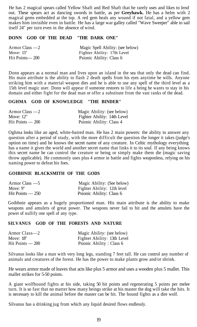He has 2 magical spears called Yellow Shaft and Red Shaft that he rarely uses and likes to lend out. These spears act as dancing swords in battle, as per **Greyhawk.** He has a helm with 2 magical gems embedded at the top. A red gem heals any wound if not fatal, and a yellow gem makes him invisible even in battle. He has a large war galley called "Wave Sweeper" able to sail itself 24" per turn even in the absence of wind.

#### **DONN GOD OF THE DEAD "THE DARK ONE"**

| Armor Class —2 | Magic Spell Ability: (see below) |
|----------------|----------------------------------|
| Move: 15"      | Fighter Ability: 17th Level      |
| Hit Points—200 | Psionic Ability: Class 6         |

Donn appears as a normal man and lives upon an island in the sea that only the dead can find. His main attribute is the ability to flash 2 death spells from his eyes anytime he wills. Anyone striking him with a material weapon dies and he is able to use any spell of the third level as a 15th level magic user. Donn will appear if someone restores to life a being he wants to stay in his domain and either fight for the dead man or offer a substitute from the vast ranks of the dead.

#### **OGHMA GOD OF KNOWLEDGE "THE BINDER"**

| Armor Class $-2$    | Magic Ability: (see below)  |
|---------------------|-----------------------------|
| Move: 12"           | Fighter Ability: 14th Level |
| $Hit$ Points $-200$ | Psionic Ability: Class 4    |

Oghma looks like an aged, white-haired man. He has 2 main powers: the ability to answer any question after a period of study, with the more difficult the question the longer it takes (judge's option on time) and he knows the secret name of any creature. In Celtic mythology everything has a name it gives the world and another secret name that links it to its soul. If any being knows this secret name he can control the creature or being or simply make them die (magic saving throw applicable). He commonly uses plus 4 armor in battle and fights weaponless, relying on his naming power to defeat his foes.

#### **GOIBHNIE BLACKSMITH OF THE GODS**

| Armor Class —5      | Magic Ability: (See below)  |
|---------------------|-----------------------------|
| Move: $9"$          | Fighter Ability: 12th level |
| $Hit$ Points $-250$ | Psionic Ability: Class 6    |

Goibhnie appears as a hugely proportioned man. His main attribute is the ability to make weapons and amulets of great power. The weapons never fail to hit and the amulets have the power of nullify one spell of any type.

#### **SILVANUS GOD OF THE FORESTS AND NATURE**

| Armor Class—2     | Magic Ability: (see below)  |
|-------------------|-----------------------------|
| Move: $18"$       | Fighter Ability: 13th Level |
| Hit Points $-200$ | Psionic Ability: Class 6    |

Silvanus looks like a man with very long legs, standing 7 feet tall. He can control any number of animals and creatures of the forest. He has the power to make plants grow and/or shrink.

He wears armor made of leaves that acts like plus 5 armor and uses a wooden plus 5 mallet. This mallet strikes for 5-50 points.

A giant wolfhound fights at his side, taking 50 hit points and regenerating 5 points per melee turn. It is so fast that no matter how many beings strike at his master the dog will take the hits. It is necessary to kill the animal before the master can be hit. The hound fights as a dire wolf.

Silvanus has a drinking jug from which any liquid desired flows endlessly.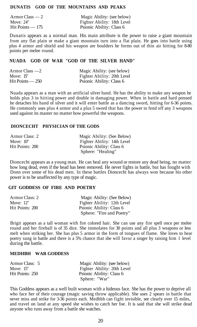#### **DUNATIS GOD OF THE MOUNTAINS AND PEAKS**

| Armor Class $-2$    | Magic Ability: (see below)  |
|---------------------|-----------------------------|
| Move: $24"$         | Fighter Ability: 18th Level |
| $Hit$ Points $-175$ | Psionic Ability: Class 6    |

Dunatis appears as a normal man. His main attribute is the power to raise a giant mountain from any flat plain or make a giant mountain turn into a flat plain. He goes into battle using plus 4 armor and shield and his weapon are boulders he forms out of thin air hitting for 8-80 points per melee round.

#### **NUADA GOD OF WAR "GOD OF THE SILVER HAND"**

| Armor Class —2      | Magic Ability: (see below)  |
|---------------------|-----------------------------|
| Move: $15$ "        | Fighter Ability: 20th Level |
| $Hit$ Points $-250$ | Psionic Ability: Class 6    |

Nuada appears as a man with an artificial silver hand. He has the ability to make any weapon he holds plus 3 in hitting power and double in damaging power. When in battle and hard pressed he detaches his hand of silver and it will enter battle as a dancing sword, hitting for 6-36 points. He commonly uses plus 4 armor and a plus 5 sword that has the power to fend off any 3 weapons used against its master no matter how powerful the weapons.

#### **DIONCECHT PHYSICIAN OF THE GODS**

| Armor Class: 2  | Magic Ability: (See Below)  |
|-----------------|-----------------------------|
| Move: $10"$     | Fighter Ability: 14th Level |
| Hit Points: 200 | Psionic Ability: Class 6    |
|                 | Sphere: "Healing"           |

Dioncecht appears as a young man. He can heal any wound or restore any dead being, no matter how long dead, even if the head has been removed. He never fights in battle, but has fought with Donn over some of his dead men. In these battles Dioncecht has always won because his other power is to be unaffected by any type of magic.

#### **GIT GODDESS OF FIRE AND POETRY**

| Armor Class: 2  | Magic Ability: (See Below)  |
|-----------------|-----------------------------|
| Move: $12"$     | Fighter Ability: 12th Level |
| Hit Points: 200 | Psionic Ability: Class 6    |
|                 | Sphere: "Fire and Poetry"   |

Brigit appears as a tall woman with fire colored hair. She can use any fire spell once per melee round and her fireball is of 35 dice. She immolates for 30 points and all plus 3 weapons or less melt when striking her. She has plus 5 armor in the form of tongues of flame. She loves to hear poetry sung in battle and there is a 5% chance that she will favor a singer by raising him 1 level during the battle.

#### **MEDHBH WAR GODDESS**

| Armor Class: 5  | Magic Ability: (see below)  |
|-----------------|-----------------------------|
| Move: $15"$     | Fighter Ability: 20th Level |
| Hit Points: 250 | Psionic Ability: Class 6    |
|                 | Sphere: "War"               |

This Goddess appears as a well built woman with a hideous face. She has the power to deprive all who face her of their courage (magic saving throw applicable). She uses 2 spears in battle that never miss and strike for 3-36 points each. Medhbh can fight invisible, see clearly over 15 miles, and travel on land at any speed she wishes to catch her foe. It is said that she will strike dead anyone who runs away from a battle she watches.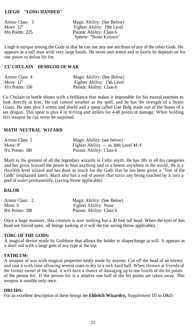#### **LIEGH "LONG HANDED"**

Armor Class: 5 Magic Ability: (See Below)<br>Move: 12" Fighter Ability: 19th Level Move: 12" Fighter Ability: 19th Level<br>
Hit Points: 225 Fisionic Ability: Class 6 Psionic Ability: Class 6 Sphere: "None Known"

Liegh is unique among the Gods in that he can use any one attribute of any of the other Gods. He appears as a tall man with very large hands. He never uses armor and in battle he depends on his one power to defeat his foe.

#### **CU CHULAIN DEMIGOD OF WAR**

| Armor Class: 4  | Magic Ability: (See Below)  |
|-----------------|-----------------------------|
| Move: 12"       | Fighter Ability: 15th Level |
| Hit Points: 150 | Psionic Ability: Class 6    |

Cu Chulain in battle shines with a brilliance that makes it impossible for his mortal enemies to look directly at him. He can control weather as the spell, and he has the strength of a Storm Giant. He uses plus 3 armor and shield and a spear called Gae Bolg made out of the bones of a sea dragon. This spear is plus 4 in hitting and strikes for 4-40 points of damage. When holding this weapon he can never be surprised.

#### **MATH NEUTRAL WIZARD**

| Armor Class: 5  | Magic Ability: (see below)            |
|-----------------|---------------------------------------|
| Move: $9"$      | Fighter Ability $-$ as 30th Level M-V |
| Hit Points: 100 | Psionic Ability: Class 6              |

Math is the greatest of all the legendary wizards in Celtic myth. He has 18's in all his categories and has given himself the power to hear anything said in a breeze anywhere in the world. He is a thirtieth level wizard and has done so much for the Gods that he has been given a "Torc of the Gods" (explained later). Math also has a rod of power that turns any being touched by it into a pool of water permanently, (saving throw applicable)

#### **BALOR**

| Armor Class: 2  | Magic Ability: (See Below) |
|-----------------|----------------------------|
| Move: $0$       | Fighter Ability: None      |
| Hit Points: 100 | Psionic Ability: Class 6   |

Once a huge monster, this creature is now nothing but a 30 foot tall head. When the eyes of this head are forced open, all beings looking at it will die (no saving throw applicable).

#### **TORC OF THE GODS:**

A magical device made by Goibhnie that allows the holder to shapechange at will. It appears as a short rod with a large gem of any type at the top.

#### **TATHLUM:**

A weapon of war with magical properties easily made by anyone. Cut off the head of an enemy and coat it with lime allowing several coats to dry to a rock hard ball. When thrown at friends of the former owner of the head, it will have a chance of damaging up to one fourth of the hit points of the person hit. If the person hit is a relative one half of the hit points are taken away. This weapon is useable only once.

#### **DRUIDS:**

For an excellent description of these beings see **Eldritch Wizardry,** Supplement III to D&D.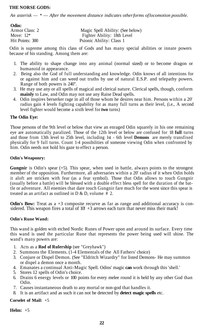#### **THE NORSE GODS:**

*An asterisk —* \* — *After the movement distance indicates other forms of locomotion possible.*

| Odin:           |                                  |
|-----------------|----------------------------------|
| Armor Class: 2  | Magic Spell Ability: (See below) |
| Move: $12*$     | Fighter Ability: 18th Level      |
| Hit Points: 300 | Psionic Ability: Class 1         |

Odin is supreme among this class of Gods and has many special abilities or innate powers because of his standing. Among them are:

- 1. The ability to shape change into any animal (normal sized) or to become dragon or humanoid in appearance.
- 2. Being also the God of full understanding and knowledge. Odin knows of all intentions for or against him and can weed out truths by use of natural E.S.P. and telepathy powers. Range of both powers is 240".
- 3. He may use any or all spells of magical and clerical nature. Clerical spells, though, conform **mainly** to Law, and Odin may not use any Raise Dead spells.
- 4. Odin inspires berserker rage in all of those whom he desires near him. Persons within a 20' radius gain 4 levels fighting capability for as many full turns as their level, (i.e., A second level fighter would become a sixth level for **two** turns)

#### **The Odin Eye:**

Those persons of the 9th level or below that view an enraged Odin squarely in his one remaining eye are automatically paralized. Those of the 12th level or below are confused for 18 **full** turns and those from 13th level to 25th level, including 1st - 6th level **Demons** are merely transfixed physically for 9 full turns. Count 1-4 possibilities of someone viewing Odin when confronted by him. Odin needs not hold his gaze to effect a person.

#### **Odin's Weaponry:**

Gungnir is Odin's spear (+5). This spear, when used in battle, always points to the strongest member of the opposition. Furthermore, all adversaries within a 20' radius of it when Odin holds it aloft are stricken with fear (as a fear symbol). Those that Odin allows to touch Gungnir (usually before a battle) will be blessed with a double effect bless spell for the duration of the battle or adventure. All enemies that dare touch Gungnir fare much for the worst since this spear is treated as an artifact as outlined in  $D & D$ , volume  $\# 2$ .

**Odin's Bow:** Treat as a +3 composite recurve as far as range and additional accuracy is considered. This weapon fires a total of  $10! +3$  arrows each turn that never miss their mark!

#### **Odin's Rune Wand:**

This wand is golden with etched Nordic Runes of Power upon and around its surface. Every time this wand is used the particular Rune that represents the power being used will shine. The wand's many powers are:

- 1. Acts as a **Rod of Rulership** (see "Greyhawk")
- 2. Summons the Elements. (1-4 Elementals of the All Fathers' choice)
- 3. Conjure or Dispel Demon. (See "Eldritch Wizardry" for listed Demons- He may summon or dispel a demon once a month.
- 4. Emanates a continual Anti-Magic Spell. Odins' magic **can** work through this 'shell.'
- 5. Stores 12 spells of Odin's choice.
- 6. Drains 6 energy levels or 100 points for every melee round it is held by any other God than Odin.
- 7. Causes instantaneous death to any mortal or non-god that handles it.
- 8. It is an artifact and as such it can not be detected by **detect magic spells** etc.

#### **Corselet of Mail:** +5

**Helm:** +5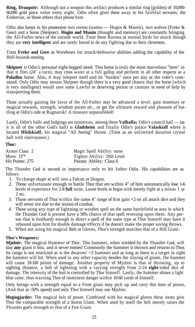**Ring, Draupnir:** Although not a weapon this artifact produces a similar ring (golden) of 10,000- 60,000 gold piece value every night. Odin often gives these away to his faithful servants, the Einheriar, or those others that please him.

Odin also keeps in his possession two ravens (names — Hugin & Munin), two wolves (Freke & Gere) and a horse (Sleipner). **Hugin and Munin** (thought and memory) are constantly bringing the All-Father news of the outside world. Treat these Ravens as normal birds for attack though they are **very intelligent** and are rarely forced to do any fighting due to their cleverness.

Treat **Freke and Gere** as Werebears for attack/defensive abilities adding the capability of the Hell-hounds sensing.

**Sleipner** is Odin's personal eight-legged steed. This horse is truly the most marvelous "item" in that it flies (24" a turn), may cross water at a full gallop and perform in all other respects as a **Paladins** horse. Also, it may teleport itself and its "burden" once per day at the rider's command. Only Odin may mount Sleipner though there is a very good chance that the horse (which is very intelligent) would save some Lawful or deserving person or creature in need of help by transporting them.

Those actually gaining the favor of the All-Father may be advanced a level, gain monetary or magical rewards, strength, wisdom points etc., or get the ultimate reward and pleasure of battling at Odin's side at Ragnarok! A treasure unparalleled!

Lastly, Odin's halls and lodgings are numerous, among them **Valhalla;** Odin's council hall — (as it is all of the other God's hall) is **Gladsheim** and finally Odin's palace **Valaskialf** where is located **Hlidskialf,** his magical "All Seeing" throne. (Treat as an unlimited duration crystal ball with clairvoyance.)

#### **Thor:**

| Armor Class: 2  | Magic Spell Ability: none   |
|-----------------|-----------------------------|
| Move: $15"$ *   | Fighter Ability: 20th Level |
| Hit Points: 275 | Psionic Ability: Class 6    |

The Thunder God is second in importance only to his father Odin. His capabilities are as follows:

- 1. To change shape at will into a Falcon or Dragon.
- 2. Those unfortunate enough to battle Thor that are within 4" of him automatically lose 1-6 levels of experience for 2-8 **full** turns. Lower levels to begin with merely fight at a minus 1 or 2 etc.
- 3. Those servants of Thor within the same  $4<sup>n</sup>$  range of him gain  $+2$  on all attack dice and they will never tire due to the strains of combat.
- 4. Those using any type of lightning or weather spell on the same battlefield or area in which the Thunder God is present have a 50% chance of that spell reversing upon them. Any person that is foolhardy enough to direct a spell of the same type at Thor himself may have it rebound upon him for double damage/effects if he doesn't make the proper saving throws.
- 5. When not using his magical Belt or Gloves, Thor's strength matches that of a Hill Giant.

#### **Thor's Weaponry:**

**Mjolnir:** The magical Hammer of Thor. This hammer, when wielded by the Thunder God, will slay **any** giant it hits, and it never misses! Commonly the hammer is thrown and returns to Thor. Its range is not restricted as is the dwarves' +3 hammer and as long as there is a target in sight the hammer will hit. When used in any other capacity besides the slaying of giants, the hammer will cause 10-100 points of damage. Another property of Mjolnir is that of throwing, up to sighting distance, a bolt of lightning with a varying strength from 2-24 **eight**-sided dice of damage. The intensity of the bolt is controlled by Thor himself. Lastly, the hammer shines a light blue color, thus warning Thor of imminent danger within 10-60 yards of himself.

Only beings with a strength equal to a Frost giant may pick up and carry this item of power, (And that at -50% speed) and only Thor himself may use Mjolnir.

**Megingjarder:** The magical belt of power. Combined with his magical gloves these items give Thor the comparable strength of a Storm Giant. When used by itself the belt merely raises the Thunder god's strength to that of a Fire Giant.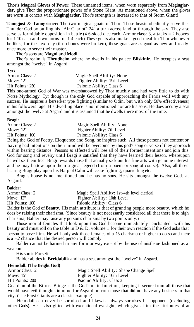**Thor's Magical Gloves of Power:** These unnamed items, when worn separately from **Megingjarder,** give Thor the proportionate power of a Stone Giant. As mentioned above, when the gloves are worn in concert with **Megingjarder,** Thor's strength is increased to that of Storm Giant!

**Tanngjost & Tanngrisner:** The two magical goats of Thor. These beasts obediently serve the Thunder God by pulling his "Air Chariot" 24" a turn across land or through the sky! They also serve as formidable opposition in battle (4 6-sided dice each, Armor class:  $\overline{3}$ , attacks = 2 hooves for 1-10 each and two horns for 1-4 each) These goats also make a good meal for Thor whenever he likes, for the next day (if no bones were broken), these goats are as good as new and ready once more to serve their master.

#### Thor's sons are **Magni** and **Modi.**

Thor's realm is **Thrudheim** where he dwells in his palace **Bilskinir.** He occupies a seat amongst the "twelve" in Asgard.

#### **Tyr:**

Armor Class: 2 Magic Spell Ability: None Move: 12" Fighter Ability: 19th Level Hit Points: 250 Psionic Ability: Class 6

This one-armed God of War was overshadowed by Thor muchly and had very little to do with Norse Mythology. Tyr though is the **only** God capable of approaching the Fenris wolf with any success. He inspires a berserker type fighting (similar to Odin, but with only 50% effectiveness) in his followers rage. His dwelling place is not mentioned nor are his sons. He does occupy a seat amongst the twelve at Asgard and it is assumed that he dwells there most of the time.

#### **Bragi:**

| Armor Class: 2  | Magic Spell Ability: None  |
|-----------------|----------------------------|
| Move: $12"$     | Fighter Ability: 7th Level |
| Hit Points: 100 | Psionic Ability: Class 6   |

Being the God of Poetry, Eloquence and Song, he inspires such. All those persons not content or having bad intentions on their mind will be overcome by this god's song or verse if they approach within hearing distance. Persons so affected will lose all of their former intentions and join this God for song and revelry until Bragi is satisfied that they have learned their lesson, whereupon he will set them free. Bragi rewards those that actually seek out his fine arts with genuine interest and he may bestow upon them a great legend (from a poem or song of course). Also, all those hearing Bragi play upon his Harp of Calm will cease fighting, quarrelling etc.

Bragi's house is not mentioned and he has no sons. He sits amongst the twelve Gods at Asgard.

#### **Balder:**

| Armor Class: 2  | Magic Spell Ability: 1st-4th level clerical                                           |
|-----------------|---------------------------------------------------------------------------------------|
| Move: 12"       | Fighter Ability: 10th Level                                                           |
| Hit Points: 100 | Psionic Ability: Class 6                                                              |
|                 | Ralder is the God of <b>Reauty</b> His main attribute is that of granting people more |

er is the God of **Beauty.** His main attribute is that of granting people more beauty, which he does by raising their charisma. (Since beauty is not necessarily considered all that there is to high charisma, Balder may raise any person's charisma by two points only.)

Those mortal females that look upon this God become immediately "enchanted" with his beauty and must roll on the table in  $D \& D$ , volume 1 for their own reaction if the God asks that person to serve him. He will only ask those females of a 15 charisma or higher to do so and there is a *+2* chance that the desired person will comply.

Balder cannot be harmed in any form or way except by the use of mistletoe fashioned as a weapon.

His son is Forseti.

Balder abides in **Breidablik** and has a seat amongst the "twelve" in Asgard.

#### **Heimdall: (The Bright God)**

| Armor Class: 2  | Magic Spell Ability: Shape Change Spell                                                          |
|-----------------|--------------------------------------------------------------------------------------------------|
| Move: $15"$     | Fighter Ability: 16th Level                                                                      |
| Hit Points: 200 | Psionic Ability: Class 3                                                                         |
|                 | Guardian of the Bifrost Bridge is the God's main function, keeping it secure from all those that |
|                 | would have evil thoughts in mind for Asgard or from those that did not have any business in that |

would have evil thoughts in mind for Asgard or from those that did not have any business in that city. (The Frost Giants are a classic example) Heimdall can never be surprised and likewise always surprises his opponent (excluding

other Gods). He is also gifted with exceptional eyesight, which gives him the attributes of an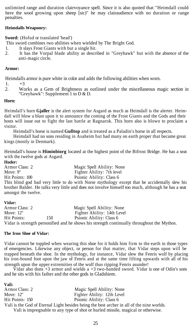unlimited range and duration clairvoyance spell. Since it is also quoted that "Heimdall could here the wool growing upon sheep [sic)" he may clairaudience with no duration or range penalties.

#### **Heimdalls Weaponry:**

**Sword:** (Hofud or translated 'head')

This sword combines two abilities when wielded by The Bright God.

- 1. It slays Frost Giants with but a single hit.
- 2. It has the Vorpal blade ability as described in "Greyhawk" but with the absence of the anti-magic circle.

#### **Armor:**

Heimdalls armor is pure white in color and adds the following abilities when worn.

1.  $+3$ 

2. Works as a Gem of Brightness as outlined under the miscellaneous magic section in "Greyhawk": Supplement 1 to D & D.

#### **Horn:**

Heimdall's horn **Gjaller** is the alert system for Asgard as much as Heimdall is the alerter. Heimdall will blow a blast upon it to announce the coming of the Frost Giants and the Gods and their hosts will issue out to fight the last battle at Ragnarok. This horn also is blown to proclaim a visitor.

Heimdall's horse is named **Gulltop** and is treated as a Paladin's horse in all respects.

Heimdall had no sons residing in Asaheim but had many on earth proper that became great kings (mostly in Denmark).

Heimdall's house is **Himinbiorg** located at the highest point of the Bifrost Bridge. He has a seat with the twelve gods at Asgard.

**Hoder:** Armor Class: 2 Magic Spell Ability: None Move: 9" Fighter Ability: 7th level Hit Points: 100 Psionic Ability: Class 6 This blind god had very little to do with Norse mythology except that he accidentally slew his brother Balder. He talks very little and does not involve himself too much, although he has a seat amongst the twelve.

#### **Vidar:**

| Armor Class: 2 |      | Magic Spell Ability: None                                                                  |
|----------------|------|--------------------------------------------------------------------------------------------|
| Move: $12"$    |      | Fighter Ability: 14th Level                                                                |
| Hit Points:    | 150. | Psionic Ability: Class 6                                                                   |
|                |      | Vidar is strength personified and he shows his strength continually throughout the Mythos. |

#### **The Iron Shoe of Vidar:**

Vidar cannot be toppled when wearing this shoe for it holds him firm to the earth in those types of emergencies. Likewise any object, or person for that matter, that Vidar steps upon will be trapped beneath the shoe. In the mythology, for instance, Vidar slew the Fenris wolf by placing his iron-bound foot upon the jaw of Fenris and at the same time lifting upwards with all of his strength upon the upper extremities of the wolf thus ripping Fenris asunder!

Vidar also dons +3 armor and wields a +3 two-handed sword. Vidar is one of Odin's sons and he sits with his father and the other gods in Gladshiem.

#### **Vali:**

Armor Class: 2 **Magic Spell Ability: None**<br>Move: 12" Fighter Ability: 12th Level Fighter Ability: 12th Level Hit Points: 150 Psionic Ability: Class 6 Vali is the God of Eternal Light besides being the best archer in all of the nine worlds. Vali is impregnable to any type of shot or hurled missile, magical or otherwise.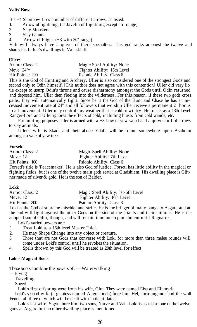#### **Valis' Bow:**

His +4 Shortbow fires a number of different arrows, as listed:

1. Arrow of lightning, (as Javelin of Lightning except 15" range)

2. Slay Monsters.<br>3. Slav Giants.

Slay Giants.

4. Arrow of Flight. (+3 with 30" range)

Vali will always have a quiver of there specialties. This god ranks amongst the twelve and shares his father's dwellings in Valaskialf.

#### **Uller:**

| Armor Class: 2  | Magic Spell Ability: None   |
|-----------------|-----------------------------|
| Move: $24"$ *   | Fighter Ability: 15th Level |
| Hit Points: 200 | Psionic Ability: Class 6    |

This is the God of Hunting and Archery, Uller is also considered one of the strongest Gods and second only to Odin himself. [This author does not agree with this contention] Uller did very little except to usurp Odin's throne and cause disharmony amongst the Gods until Odin returned and deposed him, Uller then fleeing into the wilderness. For this reason, if these two gods cross paths, they will automatically fight. Since he is the God of the Hunt and Chase he has an increased movement rate of 24" and all followers that worship Uller receive a permanent 2" bonus to all movement. Uller may control any weather that is cold or wintry. He tracks as a 13th Level Ranger-Lord and Uller ignores the effects of cold, including blasts from cold wands, etc.

For hunting purposes Uller is armed with  $a +3$  bow of yew wood and a quiver full of arrows to slay animals.

Uller's wife is Skadi and their abode Ydalir will be found somewhere upon Asaheim amongst a vale of yew trees.

#### **Forseti:**

Armor Class: 2 **Magic Spell Ability: None**<br>Move: 12" Fighter Ability: 7th Level Fighter Ability: 7th Level Hit Points: 100 Psionic Ability: Class 6

Forseti's title is 'Peacemaker'. He is also God of Justice. Forseti has little ability in the magical or fighting fields, but is one of the twelve main gods seated at Gladshiem. His dwelling place is Glitner made of silver & gold. He is the son of Balder.

#### **Loki:**

| Armor Class: 2  | Magic Spell Ability: 1st-6th Level |
|-----------------|------------------------------------|
| Move: $12"$     | Fighter Ability: 10th Level        |
| Hit Points: 200 | Psionic Ability: Class 3           |
| T 1'' 1 0 1 0   |                                    |

Loki is the God of supreme mischief and strife. He is the bringer of many pangs to Asgard and at the end will fight against the other Gods on the side of the Giants and their minions. He is the adopted son of Odin, though, and will remain immune to punishment until Ragnarok.

Loki's varied powers are:

- 1. Treat Loki as a 15th level Master Thief.<br>
2. He may Shape Change into any object c
- He may Shape Change into any object or creature.
- 3. Those that are not Gods that converse with Loki for more than three melee rounds will come under Loki's control until he revokes the situation.
- 4. Spells thrown by this God will be treated as 20th level for effect.

#### **Loki's Magical Boots:**

These boots combine the powers of: — Waterwalking

— Flying

— Travelling

— Speed

Loki's first offspring were from his wife, Glut. They were named Eisa and Einmyria.

Loki's second wife (a giantess named Angur-boda) bore him Hel, Jormungandr and the wolf Fenris, all three of which will be dealt with in detail later.

Loki's last wife, Sigyn, bore him two sons, Narve and Vali. Loki is seated as one of the twelve gods at Asgard but no other dwelling place is mentioned.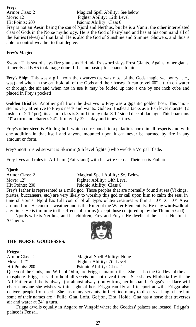**Frey:** Armor Class: 2 Magical Spell Ability: See below Move: 12" Fighter Ability: 12th Level Hit Points: 200 Psionic Ability: Class 6 Frey is not an Aesir. being the son of Njord and Nerthus, but he is a Vanir, the other interrelated class of Gods in the Norse mythology. He is the God of Fairyland and has at his command all of the Fairies (elves) of that land. He is also the God of Sunshine and Summer Showers, and thus is able to control weather to that degree.

#### **Frey's Magic:**

Sword: This sword slays fire giants as Heimdall's sword slays Frost Giants. Against other giants, it merely adds +5 to damage done. It has no basic plus chance to hit.

**Frey's Ship:** This was a gift from the dwarves (as was most of the Gods magic weaponry, etc., was) and when in use can hold all of the Gods and their horses. It can travel 60" a turn on water or through the air and when not in use it may be folded up into a one by one inch cube and placed in Frey's pocket!

**Golden Bristles:** Another gift from the dwarves to Frey was a gigantic golden boar. This 'monster' is very attentive to Frey's needs and wants. Golden Bristles attacks as a 10th level monster (2 tusks for 2-12 per), its armor class is 3 and it may take 8-12 sided dice of damage. This boar runs 20" a turn and charges 24". It may fly 32" a day and it never tires.

Frey's other steed is Blodug-hofi which corresponds to a paladin's horse in all respects and with one addition in that itself and anyone mounted upon it can never be harmed by fire in any amount or form.

Frey's most trusted servant is Skirmir (9th level fighter) who wields a Vorpal Blade.

Frey lives and rules in Alf-heim (Fairyland) with his wife Gerda. Their son is Fiolinir.

#### **Njord:**

Armor Class: 2 Magical Spell Ability: See Below Move: 12" Fighter Ability: 14th Level Hit Points: 200 Psionic Ability: Class 6

Frey's father is represented as a mild god. Those peoples that are normally found at sea (Vikings, pirates, buccaneers, etc.) are very likely to worship this god or call upon him to calm the seas, in time of storms. Njord has full control of all types of sea creatures within a 100" X 100" Area around him. He controls weather and is the Ruler of the Water Elementals. He may **windwalk** at any time. He is immune to the effects of storms (except those conjured up by the Thunder God).

Njords wife is Nerthus, and his children, Frey and Freya. He dwells at the palace Noatun in Asaheim.



#### **THE NORSE GODDESSES:**

#### **Frigga:**

Armor Class: 2 Magical Spell Ability: None<br>Move: 12<sup>"\*</sup> Fighter Ability: 7th Level Fighter Ability: 7th Level Hit Points: 200 Psionic Ability: Class 2

Queen of the Gods, and Wife of Odin, are Frigga's major titles. She is also the Goddess of the atmosphere. Frigga is said to hold all secrets but not reveal them. She shares Hlidskialf with the All-Father and she is always (or almost always) outwitting her husband. Frigga's necklace will charm anyone she wishes within sight of her. Frigga can fly and teleport at will. Frigga also delivers people from peril. She has many servants, in fact, too many to discuss at length here but some of their names are : Fulla, Gna, Lofu, Gefjon, Eira, Holda. Gna has a horse that traverses air and water at 24" a turn.

Frigga dwells equally in Asgard or Vingolf where the Goddess' palaces are located. Frigga's palace is Fensal.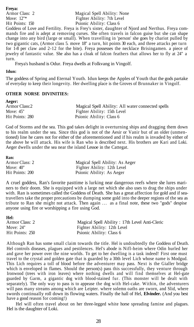**Freya:**<br>Armor Class: 2

#### Magical Spell Ability: None Move:  $12^{1*}$  Fighter Ability: 7th Level Hit Points: 150 Psionic Ability: Class 6

Goddess of Love and Fertility. Freya is Frey's sister, daughter of Njord and Nerthus. Freya commands fire and is adept at removing curses. She often travels in falcon guise but she can shape change into any bird (large or small). When travelling in 'person' she goes by chariot pulled by two gigantic cats, (Armor class 5. move 18" a turn, hit points 30 each, and three attacks per turn for 1-8 per claw and 2-12 for the bite). Freya possesses the necklace Brisingamen. a piece of jewelry of fantastic value. She also has a cloak of falcon feathers that allows her to fly at 24" a turn.

Freya's husband is Odur. Freya dwells at Folkvang in Vingolf.

#### **Idun:**

**Aeger:**

**Ran:**

The goddess of Spring and Eternal Youth. Idun keeps the Apples of Youth that the gods partake of everyday to keep their longevity. Her dwelling place is the Groves of Brunnaker in Vingolf.

#### **OTHER NORSE DIVINITIES:**

| дечег:          |                                                   |
|-----------------|---------------------------------------------------|
| Armor Class:2   | Magical Spell Ability: All water connected spells |
| Move: $45"$     | Fighter Ability: 15th Level                       |
| Hit Points: 280 | Psionic Ability: Class 6                          |

God of Storms and the sea. This god takes delight in overturning ships and dragging them down to his realm under the sea. Since this god is not of the Aesir or Vanir but of an older (unmentioned) line he cares not for either of the aforementioned and if his realm is invaded by either of the above he will attack. His wife is Ran who is described next. His brothers are Kari and Loki. Aeger dwells under the sea near the island Lessoe in the Cattegat.

| Kall.           |                                 |
|-----------------|---------------------------------|
| Armor Class: 2  | Magical Spell Ability: As Aeger |
| Move: $40"$     | Fighter Ability: 12th Level     |
| Hit Points: 200 | Psionic Ability: As Aeger       |

A cruel goddess, Ran's favorite pasttime is lurking near dangerous reefs where she lures mariners to their doom. She is equipped with a large net which she also uses to drag the ships under with. Ran is sometimes called the Goddess of Death. She has a great affection for gold and if seatravellers take the proper precautions by dumping some gold into the deeper regions of the sea as tribute to Ran she might not attack. Then again ... as a final note, these two "gods" despise anyone using fire or worshipping a fire using God.

| Hel:            |                                               |
|-----------------|-----------------------------------------------|
| Armor Class: 2  | Magical Spell Ability: 17th Level Anti-Cleric |
| Move: $24"$     | Fighter Ability: 12th Level                   |
| Hit Points: 250 | Psionic Ability: Class 6                      |

Although Ran has some small claim towards the title. Hel is undoubtedly the Goddess of Death. Hel controls diseases, plagues and pestilences. Hel's abode is Nifl-heim where Odin hurled her and gave her power over the nine worlds. To get to her dwelling is a task indeed! First one must travel to the crystal and golden gate that is guarded by a 30th level Lich whose name is Modgud. This Lich requires a toll of blood before the adventurer may pass. Next is the Gialler bridge which is enveloped in flames. Should the person(s) pass this successfully, they venture through Ironwood (trees with iron leaves) where nothing dwells and will find themselves at Hel-gate guarded by Garm, a gigantic dog with blood-stained fur. (This monster will be dealt with separately). The only way to pass is to appease the dog with Hel-cake. Within, the adventurers will pass many streams among which are Leipter. where solemn oaths are sworn, and Slid, where swords continually roll down its flowing waters. Finally the hall of Hel, **Elvinder.** (And you best have a good reason for coming!)

Hel will often travel about on her three-legged white horse spreading famine and plagues. Hel is the daughter of Loki.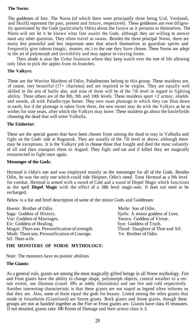#### **The Norm:**

The goddesses of fate. The Norns (of which there were principally three being Urd, Verdandi, and Skuld) represent the past, present and future, respectively. These goddesses are ever diligently questioned by the Gods (particularly Odin) about the future as it pertains to themselves. The Norns will not let it be known what fate awaits the Gods, although they are willing to answer most any other question. They often travel as swans. Besides the three principal Norns, there are many less powerful and less important ones that attach themselves as guardian spirits and frequently give tokens (magic, monies, etc.) to the one they have chosen. These Norns are adept in the art of polymorph and invisibility and may appear in varying forms.

Their abode is near the Urdar fountain where they keep watch over the tree of life allowing only Idun to pick the apples from its branches.

#### **The Valkyrs:**

These are the Warrior Maidens of Odin; Paladinesses belong to this group. These maidens are, of course, very beautiful (17+ charisma) and are required to be virgins. They are equally well skilled in the arts of battle also, and nine of them will be of the 7th level in regard to fighting ability. Three others are of the 8th, 9th and 10th levels. These maidens sport +2 armor, shields and swords, all with Paladin-type horses. They own swan plumage in which they can float down to earth, but if the plumage is taken from them, the new owner may do with the Valkyrs as he so wishes for nine years, after which the Valkyrs may leave. These maidens go about the battlefields choosing the dead that will enter Valhalla.

#### **The Einheriar:**

These are the special guests that have been chosen from among the dead to stay in Valhalla and fight on the Gods' side at Ragnarok. They are usually of the 7th level or above, although there may be exceptions. It is the Valkyrs' job to choose those that fought and died the most valiantly of all and then transport them to Asgard. They fight and eat and if killed they are magically ressurrected to fight once again.

#### **Messenger of the Gods:**

Hermod is Odin's son and was employed mainly as the messenger for all of the Gods. Besides Odin, he was the only one which could ride Sleipner, Odin's steed. Treat Hermod as a 9th level for combat. Hermod is armed with a sword of Cold and a wand of Dispel Magic which functions as the spell **Dispel Magic** with the effect of a 18th level magic-user. It does not need to be recharged.

Below is a list and brief description of some of the minor Gods and Goddesses:

Hoenir: Brother of Odin. Meile: Son of Odin. Saga: Goddess of History. Sjofn: A minor goddess of Love. Vor: Goddess of Marriages. Snotra: Goddess of Virtue. Eir: Goddess of Healing.<br>
Magni: Thors son. Personification of strength. Syn: Goddess of Truth.<br>
Thrud: Daughter of Thor and Sif. Magni: Thors son. Personification of strength. Modi: Thors son. Personification of Courage. Ve: Brother of Odin. Sif: Thors wife.

#### **THE MONSTERS OF NORSE MYTHOLOGY:**

Note: The monsters have no psionic abilities

#### **The Giants:**

As a general rule, giants are among the most magically gifted beings in all Norse mythology. Fire and Frost giants have the ability to change shape, polymorph objects, control weather to a certain extent, use illusions (count 10% as solely illusionists) and use fire and cold respectively. Another interesting characteristic is that these giants are not stupid as legend often informs us that they are. Also, some of them equal the gods for beauty. Listed among the other giants that reside in Jotunheim (Giantland) are Storm giants. Rock giants and Stone giants, though these groups are not as banded together as the Fire or Frost giants are. Giants have class H treasures. If not detailed, giants take 100 Points of Damage and their armor class is 3.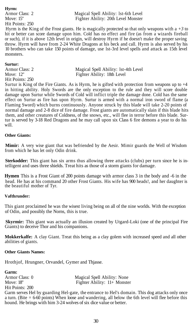**Hyrm:**<br>Armor Class: 2 Hit Points: 250

#### Magical Spell Ability: lst-6th Level Move: 15" Fighter Ability: 20th Level Monster

Hyrm is the King of the Frost giants. He is magically protected so that only weapons with a *+3* to hit or better can score damage upon him. Cold has no effect and fire (as from a wizards fireball or such), if it is above 12th level in origin, will destroy Hyrm if he doesn't make the proper saving throw. Hyrm will have from 2-24 White Dragons at his beck and call. Hyrm is also served by his 10 brothers who can take 150 points of damage, use lst-3rd level spells and attack as 15th level monsters.

#### **Surtur:**

Hit Points: 250

Armor Class: 2 Magical Spell Ability: 1st-4th Level Move: 12" Fighter Ability: 18th Level

Surtur is King of the Fire Giants. As is Hyrm, he is gifted with protection from weapons up to +4 in hitting ability. Holy Swords are the only exception to the rule and they will score double damage upon Surtur while Swords of Cold will inflict triple the damage done. Cold has the same effect on Surtur as fire has upon Hyrm. Surtur is armed with a normal iron sword of flame (a Flaming Sword) which burns continuously. Anyone struck by this blade will take 2-20 points of normal damage and 2-8 dice of fire damage. Frost giants are automatically slain if this blade hits them, and other creatures of Coldness, of the snows, etc., will flee in terror before this blade. Surtur is served by 3-18 Red Dragons and he may call upon six Class 6 fire demons a year to do his will.

#### **Other Giants:**

**Mimir:** A very wise giant that was befriended by the Aesir. Mimir guards the Well of Wisdom from which he has let only Odin drink.

**Sterkodder:** This giant has six arms thus allowing three attacks (clubs) per turn since he is intelligent and uses three shields. Treat hits as those of a storm giants for damage.

**Hymen** This is a Frost Giant of 200 points damage with armor class 3 in the body and -6 in the head. He has at his command 20 other Frost Giants. His wife has 900 heads!, and her daughter is the beautiful mother of Tyr.

#### **Vafthrunder:**

This giant proclaimed he was the wisest living being on all of the nine worlds. With the exception of Odin, and possibly the Norns, this is true.

**Skyrmir:** This giant was actually an illusion created by Utgard-Loki (one of the principal Fire Giants) to deceive Thor and his companions.

**Mokkerkalfe:** A clay Giant. Treat this being as a clay golem with increased speed and all other abilities of giants.

#### **Other Giants Names:**

Hrothjof, Hrungner, Orvandel, Gymer and Thjasse.

**Garm:** Armor Class: 0 Magical Spell Ability: None Move: 18" Fighter Ability: 11+ Monster Hit Points: 200 Garm serves Hel by guarding Hel-gate, the entrance to Hel's domain. This dog attacks only once a turn. (Bite = 6-60 points) When loose and wandering, all below the 6th level will flee before this hound. He brings with him 3-24 wolves of six dice value or better.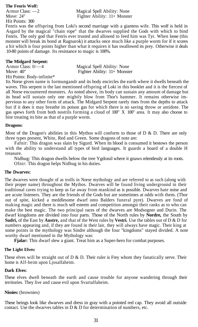**The Fenris Wolf:**

Hit Points: 300

Armor Class:  $-2$  Magical Spell Ability: None Move: 24" Fighter Ability: 11+ Monster

Fenris was the offspring from Loki's second marriage with a giantess wife. This wolf is held in Asgard by the magical "chain rope" that the dwarves supplied the Gods with which to bind Fenris. The only god that Fenris ever trusted and allowed to feed him was Tyr. When loose (this monster will break its bond at Ragnarok) it attacks once much like a purple worm for if it scores a hit which is four points higher than what it requires it has swallowed its prey. Otherwise it deals 10-80 points of damage. Its resistance to magic is 100%.

#### **The Midgard Serpent:**

Hit Points: Body-infinite\*

Armor Class:  $0/\overline{-}4$  Magical Spell Ability: None<br>Move: 40" Fighter Ability: 11+ Monst Fighter Ability: 11+ Monster

Its Norse given name is Iormungandr and its body encircles the earth where it dwells beneath the waves. This serpent is the last mentioned offspring of Loki in this booklet and it is the fiercest of all Norse encountered monsters. As noted above, its body can sustain any amount of damage but its head will sustain only one mightly blow from Thor's hammer. It remains otherwise impervious to any other form of attack. The Midgard Serpent rarely rises from the depths to attack but if it does it may breathe its poison gas for which there is no saving throw or antidote. The gas spews forth from both nostrils forming a cloud of 100" X 100" area. It may also choose to bite treating its bite as that of a purple worm.

#### **Dragons:**

Most of the Dragon's abilities in this Mythos will conform to those of  $D \& D$ . There are only three types present, White, Red and Green. Some dragons of note are:

Fafnir: This dragon was slain by Sigurd. When its blood is consumed it bestows the person with the ability to understand all types of bird languages. It guards a hoard of a double H treasure.

Nidhug: This dragon dwells below the tree Ygdrasil where it gnaws relentlessly at its roots. Ofnir: This dragon helps Nidhug in his duties.

#### **The Dwarves:**

The dwarves were thought of as trolls in Norse mythology and are referred to as such (along with their proper name) throughout the Mythos. Dwarves will be found living underground in their traditional caves trying to keep as far away from mankind as is possible. Dwarves hate noise and are acute listeners. They are the friends of the Gods but are sometimes at odds with them. (Thor out of spite, kicked a meddlesome dwarf onto Balders funeral pyre). Dwarves are fond of making magic and there is much self esteem and competition amongst their ranks as to who can make the best magic. The two principal races of the dwarves are Modsogner and Durin. The dwarf kingdoms are divided into four parts. Those of the North rules by **Nordre,** the South by **Sudri,** of the East by **Austre,** and that of the West rules by **Vestri.** Use the tables out of D & D for numbers appearing and, if they are found in their lair, they will always have magic. Their king at some points in the mythology was Sindre although the four "kingdoms" stayed divided. A note worthy dwarf mentioned in the Mythology was:

**Fjalar:** This dwarf slew a giant. Treat him as a Super-hero for combat purposes.

#### **The Light Elves:**

These elves will be straight out of D & D. Their ruler is Frey whom they fanatically serve. Their home is Alf-heim upon Ljosalfaheim.

#### **Dark Elves:**

These elves dwell beneath the earth and cause trouble for anyone wandering through their territories. They live and cause evil upon Svartalfaheim.

#### **Nissies:** (brownies)

These beings look like dwarves and dress in gray with a pointed red cap. They avoid all outside contact. Use the dwarves tables in  $D \& D$  for determination of numbers, etc.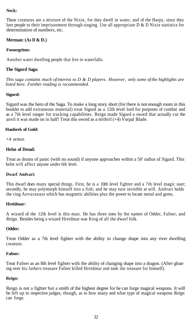#### **Neck:**

These creatures are a mixture of the Nixie, for they dwell in water, and of the Harpy, since they lure people to their imprisonment through singing. Use all appropriate  $D \& D$  Nixie statistics for determination of numbers, etc.

#### **Merman: (As D & D.)**

#### **Fossergrims:**

Another water dwelling people that live in waterfalls.

#### **The Sigurd Saga:**

*This saga contains much of interest to D & D players. However, only some of the highlights are listed here. Further reading is recommended.*

#### **Sigurd:**

Sigurd was the hero of the Saga. To make a long story short (for there is not enough room in this booklet to add extraneous material) treat Sigurd as a 12th level lord for purposes of combat and as a 7th level ranger for tracking capabilities. Reign made Sigurd a sword that actually cut the anvil it was made on in half! Treat this sword as a mithril (+4) Vorpal Blade.

#### **Hauberk of Gold:**

+4 armor.

#### **Helm of Dread:**

Treat as drums of panic (with no sound) if anyone approaches within a 50' radius of Sigurd. This helm will affect anyone under 6th level.

#### **Dwarf Andvari:**

This dwarf does many special things. First, he is a 10th level fighter and a 7th level magic user; secondly, he may polymorph himself into a fish; and he may turn invisible at will. Andvari holds the ring Anvaranaut which has magnetic abilities plus the power to locate metal and gems.

#### **Hreidmar:**

A wizard of the 12th level is this man. He has three sons by the names of Odder, Fafner, and Reign. Besides being a wizard Hreidmar was King of all the dwarf folk.

#### **Odder:**

Treat Odder as a 7th level fighter with the ability to change shape into any river dwelling creature.

#### **Fafner:**

Treat Fafner as an 8th level fighter with the ability of changing shape into a dragon. (After gloating over his fathers treasure Fafner killed Hreidmar and took the treasure for himself).

#### **Reign:**

Reign is not a fighter but a smith of the highest degree for he can forge magical weapons. It will be left up to respective judges, though, as to how many and what type of magical weapons Reign can forge.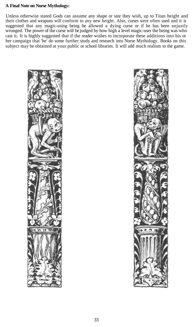#### **A Final Note on Norse Mythology:**

Unless otherwise stated Gods can assume any shape or size they wish, up to Titan height and their clothes and weapons will conform to any new height. Also, curses were often used and it is suggested that any magic-using being be allowed a dying curse or if he has been unjustly wronged. The power of the curse will be judged by how high a level magic-user the being was who cast it. It is highly suggested that if the reader wishes to incorporate these additions into his or her campaign that 'he' do some further study and research into Norse Mythology. Books on this subject may be obtained at your public or school libraries. It will add much realism to the game.



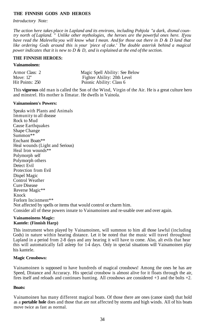# **THE FINNISH GODS AND HEROES**

*Introductory Note:*

*The action here takes place in Lapland and its environs, including Pohjola "a dark, dismal country north of Lapland. " Unlike other mythologies, the heroes are the powerful ones here. If you have read the Malevella you will know what I mean. And for those out there in D & D land that like ordering Gods around this is your 'piece of cake.' The double asterisk behind a magical power indicates that it is new to D & D, and is explained at the end of the section.*

## **THE FINNISH HEROES:**

## **Vainamoinen:**

| Armor Class: 2  | Magic Spell Ability: See Below |
|-----------------|--------------------------------|
| Move: 12"       | Fighter Ability: 20th Level    |
| Hit Points: 250 | Psionic Ability: Class 6       |

This **vigorous** old man is called the Son of the Wind, Virgin of the Air. He is a great culture hero and minstrel. His mother is Ilmatar. He dwells in Vainola.

#### **Vainamoinen's Powers:**

Speaks with Plants and Animals Immunity to all disease Rock to Mud Cause Earthquakes Shape Change Summon\*\* Enchant Boats\*\* Heal wounds (Light and Serious) Heal Iron wounds\*\* Polymorph self Polymorph others Detect Evil Protection from Evil Dispel Magic Control Weather Cure Disease Reverse Magic\*\* Knock Forlorn Incistment\*\* Not affected by spells or items that would control or charm him. Consider all of these powers innate to Vainamoinen and re-usable over and over again.

#### **Vainamoinens Magic: Kantele: (Finnish Harp)**

This instrument when played by Vainamoinen, will summon to him all those lawful (including Gods) in nature within hearing distance. Let it be noted that the music will travel throughout Lapland in a period from 2-8 days and any hearing it will have to come. Also, alt evils that hear this will automatically fall asleep for 1-4 days. Only in special situations will Vainamoinen play his kantele.

## **Magic Crossbows:**

Vainamoinen is supposed to have hundreds of magical crossbows! Among the ones he has are Speed, Distance and Accuracy. His special crossbow is almost alive for it floats through the air, fires itself and reloads and continues hunting. All crossbows are considered +3 and the bolts +2.

## **Boats:**

Vainamoinen has many different magical boats. Of those there are ones (canoe sized) that hold as a **portable hole** does and those that are not affected by storms and high winds. All of his boats move twice as fast as normal.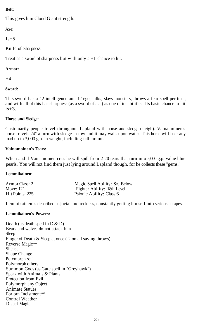# **Belt:**

This gives him Cloud Giant strength.

# **Axe:**

 $Is+5$ .

Knife of Sharpness:

Treat as a sword of sharpness but with only  $a + 1$  chance to hit.

# **Armor:**

 $+4$ 

# **Sword:**

This sword has a 12 intelligence and 12 ego, talks, slays monsters, throws a fear spell per turn, and with all of this has sharpness (as a sword of. . .) as one of its abilities. Its basic chance to hit is+3.

# **Horse and Sledge:**

Customarily people travel throughout Lapland with horse and sledge (sleigh). Vainamoinen's horse travels 24" a turn with sledge in tow and it may walk upon water. This horse will bear any load up to 3,000 g.p. in weight, including full mount.

# **Vainamoinen's Tears:**

When and if Vainamoinen cries he will spill from 2-20 tears that turn into 5,000 g.p. value blue pearls. You will not find them just lying around Lapland though, for he collects these "gems."

# **Lemmikainen:**

| Armor Class: 2  | Magic Spell Ability: See Below |
|-----------------|--------------------------------|
| Move: 12"       | Fighter Ability: 18th Level    |
| Hit Points: 225 | Psionic Ability: Class 6       |

Lemmikainen is described as jovial and reckless, constantly getting himself into serious scrapes.

# **Lemmikainen's Powers:**

Death (as death spell in  $D & D$ ) Bears and wolves do not attack him Sleep Finger of Death & Sleep at once (-2 on all saving throws) Reverse Magic\*\* Silence Shape Change Polymorph self Polymorph others Summon Gods (as Gate spell in "Greyhawk") Speak with Animals & Plants Protection from Evil Polymorph any Object Animate Statues Forlorn Incistment\*\* Control Weather Dispel Magic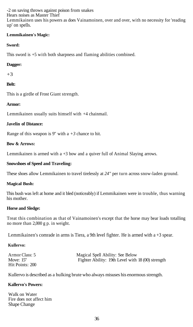-2 on saving throws against poison from snakes Hears noises as Master Thief Lemmikainen uses his powers as does Vainamoinen, over and over, with no necessity for 'reading up' on spells.

# **Lemmikainen's Magic:**

# **Sword:**

This sword is +5 with both sharpness and flaming abilities combined.

# **Dagger:**

+3

# **Belt:**

This is a girdle of Frost Giant strength.

# **Armor:**

Lemmikainen usually suits himself with +4 chainmail.

# **Javelin of Distance:**

Range of this weapon is 9" with a  $+3$  chance to hit.

# **Bow & Arrows:**

Lemmikainen is armed with  $a +3$  bow and a quiver full of Animal Slaying arrows.

# **Snowshoes of Speed and Traveling:**

These shoes allow Lemmikainen to travel tirelessly at *24"* per turn across snow-laden ground.

## **Magical Bush:**

This bush was left at home and it bled (noticeably) if Lemmikainen were in trouble, thus warning his mother.

## **Horse and Sledge:**

Treat this combination as that of Vainamoinen's except that the horse may bear loads totalling no more than 2,000 g p. in weight.

Lemmikainen's comrade in arms is Tiera, a 9th level fighter. He is armed with a +3 spear.

# **Kullervo:**

| Armor Class: 5  | Magical Spell Ability: See Below                  |
|-----------------|---------------------------------------------------|
| Move: $15"$     | Fighter Ability: 19th Level with 18 (00) strength |
| Hit Points: 200 |                                                   |

Kullervo is described as a hulking brute who always misuses his enormous strength.

# **Kallervo's Powers:**

Walk on Water Fire does not affect him Shape Change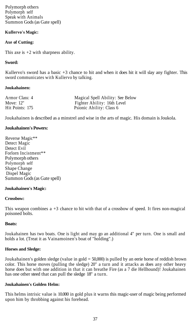Polymorph others Polymorph self Speak with Animals Summon Gods (as Gate spell)

# **Kullervo's Magic:**

# **Axe of Cutting:**

This axe is  $+2$  with sharpness ability.

## **Sword:**

Kullervo's sword has a basic +3 chance to hit and when it does hit it will slay any fighter. This sword communicates with Kullervo by talking.

# **Joukahainen:**

| Armor Class: 4  | Magical Spell Ability: See Below |
|-----------------|----------------------------------|
| Move: $12"$     | Fighter Ability: 16th Level      |
| Hit Points: 175 | Psionic Ability: Class 6         |

Joukahainen is described as a minstrel and wise in the arts of magic. His domain is Joukola.

# **Joukahainen's Powers:**

Reverse Magic\*\* Detect Magic Detect Evil Forlorn Incistment\*\* Polymorph others Polymorph self Shape Change Dispel Magic Summon Gods (as Gate spell)

## **Joukahainen's Magic:**

## **Crossbow:**

This weapon combines  $a + 3$  chance to hit with that of a crossbow of speed. It fires non-magical poisoned bolts.

# **Boats:**

Joukahainen has two boats. One is light and may go an additional 4" per turn. One is small and holds a lot. (Treat it as Vainamoinen's boat of "holding".)

# **Horses and Sledge:**

Joukahainen's golden sledge (value in gold = 50,000) is pulled by an eerie horse of reddish brown color. This horse moves (pulling the sledge) 20" a turn and it attacks as does any other heavy horse does but with one addition in that it can breathe Fire (as a 7 die Hellhound)! Joukahainen has one other steed that can pull the sledge 18" a turn.

## **Joukahainen's Golden Helm:**

This helms intrisic value is 10.000 in gold plus it warns this magic-user of magic being performed upon him by throbbing against his forehead.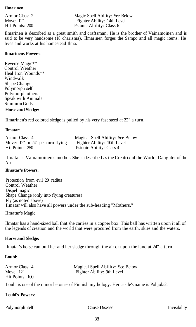#### **Ilmarinen**

Armor Class: 2 **Magic Spell Ability: See Below**<br>Move: 12" Fighter Ability: 14th Level Move: 12" Fighter Ability: 14th Level<br>
Hit Points: 200 Fighter Ability: Class 6 Psionic Ability: Class 6

Ilmarinen is described as a great smith and craftsman. He is the brother of Vainamoinen and is said to be very handsome (18 charisma). Ilmarinen forges the Sampo and all magic items. He lives and works at his homestead Ilma.

#### **Ilmarinens Powers:**

Reverse Magic\*\* Control Weather Heal Iron Wounds\*\* Windwalk Shape Change Polymorph self Polymorph others Speak with Animals Summon Gods **Horse and Sledge:**

Ilmarinen's red colored sledge is pulled by his very fast steed at 22" a turn.

#### **Ilmatar:**

Armor Class: 4 Magical Spell Ability: See Below Move: 12" or 24" per turn flying Fighter Ability: 10th Level Hit Points: 250 Psionic Ability: Class 4

Ilmatar is Vainamoinen's mother. She is described as the Creatrix of the World, Daughter of the Air.

### **Ilmatar's Powers:**

Protection from evil 20' radius Control Weather Dispel magic Shape Change (only into flying creatures) Fly (as noted above) Ilmatar will also have all powers under the sub-heading "Mothers."

Ilmatar's Magic:

Ilmatar has a hand-sized ball that she carries in a copper box. This ball has written upon it all of the legends of creation and the world that were procured from the earth, skies and the waters.

## **Horse and Sledge:**

Ilmatar's horse can pull her and her sledge through the air or upon the land at 24" a turn.

## **Louhi:**

| Armor Class: 4  | Magical Spell Ability: See Below |
|-----------------|----------------------------------|
| Move: 12"       | Fighter Ability: 9th Level       |
| Hit Points: 100 |                                  |

Louhi is one of the minor heroines of Finnish mythology. Her castle's name is Pohjola2.

## **Louhi's Powers:**

Polymorph self Cause Disease Invisibility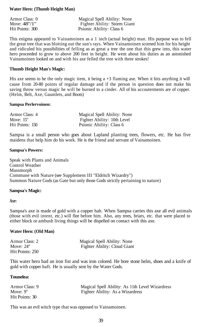#### **Water Hero: (Thumb Height Man)**

| Armor Class: 0   | Magical Spell Ability: None  |
|------------------|------------------------------|
| Move: $48''/1''$ | Fighter Ability: Storm Giant |
| Hit Points: 300  | Psionic Ability: Class 6     |

This enigma appeared to Vainamoinen as a 1 inch (actual height) man. His purpose was to fell the great tree that was blotting out the sun's rays. When Vainamoinen scorned him for his height and ridiculed his possibilities of felling as as great a tree the one that this grew into, this water hero proceeded to grow to above 200 feet in height. He went about his duties as an astonished Vainamoinen looked on and with his axe felled the tree with three strokes!

#### **Thumb Height Man's Magic:**

His axe seems to be the only magic item, it being  $a + 3$  flaming axe. When it hits anything it will cause from 20-80 points of regular damage and if the person in question does not make his saving throw versus magic he will be burned to a cinder. All of his accouterments are of copper. (Helm, Belt, Axe, Gauntlets, and Boots)

#### **Sampsa Perlervoinen:**

| Armor Class: 4  | Magical Spell Ability: None |
|-----------------|-----------------------------|
| Move: $15"$     | Fighter Ability: 10th Level |
| Hit Points: 150 | Psionic Ability: Class 6    |

Sampsa is a small person who goes about Lapland planting trees, flowers, etc. He has five maidens that help him do his work. He is the friend and servant of Vainamoinen.

#### **Sampsa's Powers:**

Speak with Plants and Animals Control Weather Massmorph Commune with Nature (see Supplement III "Eldritch Wizardry") Summon Nature Gods (as Gate but only those Gods strictly pertaining to nature)

#### **Sampsa's Magic:**

**Axe:**

Sampsa's axe is made of gold with a copper hah. When Sampsa carries this axe all evil animals (those with evil intent, etc.) will flee before him. Also, any trees, briars, etc. that were placed to either block or ambush living things will be dispelled on contact with this axe.

#### **Water Hero: (Old Man)**

| Armor Class: 2  | Magical Spell Ability: None  |
|-----------------|------------------------------|
| Move: $24"$     | Fighter Ability: Cloud Giant |
| Hit Points: 250 |                              |

This water hero had an iron fist and was iron colored. He bore stone helm, shoes and a knife of gold with copper haft. He is usually sent by the Water Gods.

#### **Tounelea:**

| Armor Class: 9 | Magical Spell Ability: As 11th Level Wizardress |
|----------------|-------------------------------------------------|
| Move: $9"$     | Fighter Ability: As a Wizardress                |
| Hit Points: 30 |                                                 |

This was an evil witch type that was opposed to Vainamoinen.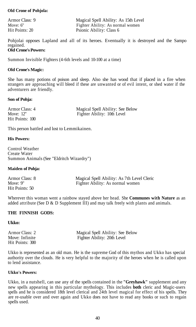#### **Old Crone of Pohjola:**

| Armor Class: 9 | Magical Spell Ability: As 15th Level |
|----------------|--------------------------------------|
| Move: $6"$     | Fighter Ability: As normal women     |
| Hit Points: 20 | Psionic Ability: Class 6             |

Pohjolai opposes Lapland and all of its heroes. Eventually it is destroyed and the Sampo regained.

# **Old Crone's Powers:**

Summon Invisible Fighters (4-6th levels and 10-100 at a time)

#### **Old Crone's Magic:**

She has many potions of poison and sleep. Also she has wood that if placed in a fire when strangers are approaching will bleed if these are unwanted or of evil intent, or shed water if the adventurers are friendly.

#### **Son of Pohja:**

| Armor Class: 4  | Magical Spell Ability: See Below |
|-----------------|----------------------------------|
| Move: $12"$     | Fighter Ability: 10th Level      |
| Hit Points: 100 |                                  |

This person battled and lost to Lemmikainen.

#### **His Powers:**

Control Weather Create Water Summon Animals (See "Eldritch Wizardry")

## **Maiden of Pohja:**

| Armor Class: 8 | Magical Spell Ability: As 7th Level Cleric |
|----------------|--------------------------------------------|
| Move: $9"$     | Fighter Ability: As normal women           |
| Hit Points: 50 |                                            |

Wherever this woman went a rainbow stayed above her head. She **Communes with Nature** as an added attribute (See D & D Supplement III) and may talk freely with plants and animals.

# **THE FINNISH GODS:**

#### **Ukko:**

| Armor Class: 2  | Magical Spell Ability: See Below |
|-----------------|----------------------------------|
| Move: Infinite  | Fighter Ability: 20th Level      |
| Hit Points: 300 |                                  |

Ukko is represented as an old man. He is the supreme God of this mythos and Ukko has special authority over the clouds. He is very helpful to the majority of the heroes when he is called upon to lend assistance.

#### **Ukko's Powers:**

Ukko, in a nutshell, can use any of the spells contained in the **"Greyhawk"** supplement and any new spells appearing in this particular mythology. This includes **both** cleric and Magic-users spells and he is considered 18th level clerical and 24th level magical for effect of his spells. They are re-usable over and over again and Ukko does not have to read any books or such to regain spells used.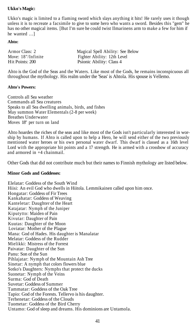# **Ukko's Magic:**

Ukko's magic is limited to a flaming sword which slays anything it hits! He rarely uses it though unless it is to recreate a facsimile to give to some hero who wants a sword. Besides this "gem" he has no other magical items. [But I'm sure he could twist Ilmarinens arm to make a few for him if he wanted ...]

## **Ahto:**

| Armor Class: 2     | Magical Spell Ability: See Below |
|--------------------|----------------------------------|
| Move: 18"/Infinite | Fighter Ability: 12th Level      |
| Hit Points: 200    | Psionic Ability: Class 4         |

Ahto is the God of the Seas and the Waters. Like most of the Gods, he remains inconspicuous all throughout the mythology. His realm under the 'Seas' is Ahtola. His spouse is Vellemo.

## **Ahto's Powers:**

Controls all Sea weather Commands all Sea creatures Speaks to all Sea dwelling animals, birds, and fishes May summon Water Elementals (2-8 per week) Breathes Underwater Moves 18" per turn on land

Ahto hoardes the riches of the seas and like most of the Gods isn't particularly interested in worship by humans. If Ahto is called upon to help a Hero, he will send either of the two previously mentioned water heroes or his own personal water dwarf. This dwarf is classed as a 16th level Lord with the appropriate hit points and a 17 strength. He is armed with a crossbow of accuracy and armored in +4 chainmail.

Other Gods that did not contribute much but their names to Finnish mythology are listed below.

## **Minor Gods and Goddesses:**

Elelatar: Goddess of the South Wind Hiisi: An evil God who dwells in Hiitola. Lemmikainen called upon him once. Hongatar: Goddess of Fir Trees Kankahatar: Goddess of Weaving Kanteletar: Daughter of the Heart Katajatar: Nymph of the Juniper Kiputytto: Maiden of Pain Kivutar: Daughter of Pain Kuutas: Daughter of the Moon Loviatar: Mother of the Plague Mana: God of Hades. His daughter is Manalatar Melatar: Goddess of the Rudder Mielikki: Mistress of the Forrest Paivatar: Daughter of the Sun Panu: Son of the Sun Pihlajatar: Nymph of the Mountain Ash Tree Sinetar: A nymph that colors flowers blue Sotko's Daughters: Nymphs that protect the ducks Suonetar: Nymph of the Veins Surma: God of Death Suvetar: Goddess of Summer Tammatar: Goddess of the Oak Tree Tapio: God of the Forests. Tellervo is his daughter. Terhenetar: Goddess of the Clouds Tuometar: Goddess of the Bird Cherry Untamo: God of sleep and dreams. His dominions are Untamola.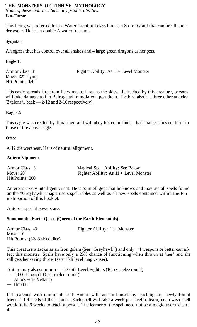# **THE MONSTERS OF FINNISH MYTHOLOGY**

*None of these monsters have any psionic abilities.* **Iku-Turso:**

This being was referred to as a Water Giant but class him as a Storm Giant that can breathe under water. He has a double A water treasure.

# **Syojatar:**

An ogress that has control over all snakes and 4 large green dragons as her pets.

# **Eagle 1:**

Armor Class: 3 Fighter Ability: As 11+ Level Monster Move: 32" flying Hit Points: 150

This eagle spreads fire from its wings as it spans the skies. If attacked by this creature, persons will take damage as if a Balrog had immolated upon them. The bird also has three other attacks:  $(2 \tanh/1 \text{ peak} - 2 - 12 \text{ and } 2 - 16 \text{ respectively}).$ 

# **Eagle 2:**

This eagle was created by Ilmarinen and will obey his commands. Its characteristics conform to those of the above eagle.

# **Otso:**

A 12 die werebear. He is of neutral alignment.

# **Antero Vipunen:**

| Armor Class: 3  | Magical Spell Ability: See Below         |
|-----------------|------------------------------------------|
| Move: $20"$     | Fighter Ability: As $11 +$ Level Monster |
| Hit Points: 200 |                                          |

Antero is a very intelligent Giant. He is so intelligent that he knows and may use all spells found on the "Greyhawk" magic-users spell tables as well as all new spells contained within the Finnish portion of this booklet.

Antero's special powers are:

# **Summon the Earth Queen (Queen of the Earth Elementals):**

Armor Class: -3 Fighter Ability: 11+ Monster Move: 9" Hit Points: (32- 8 sided dice)

This creature attacks as an Iron golem (See "Greyhawk") and only +4 weapons or better can affect this monster. Spells have only a 25% chance of functioning when thrown at "her" and she still gets her saving throw (as a 16th level magic-user).

Antero may also summon — 100 6th Level Fighters (10 per melee round)

- 1000 Heroes (100 per melee round)
- Ahto's wife Vellamo
- Ilmatar

If threatened with imminent death Antero will ransom himself by teaching his "newly found friends" 1-4 spells of their choice. Each spell will take a week per level to learn, i.e. a wish spell would take 9 weeks to teach a person. The learner of the spell need not be a magic-user to learn it.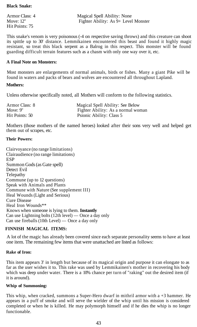#### **Black Snake:**

Hit Points: 75

Armor Class: 4 Magical Spell Ability: None<br>Move: 12" Fighter Ability: As 9+ Level Fighter Ability: As 9+ Level Monster

This snake's venom is very poisonous (-4 on respective saving throws) and this creature can shoot its spittle up to 30' distance. Lemmikainen encountered this beast and found it highly magic resistant, so treat this black serpent as a Balrog in this respect. This monster will be found guarding difficult terrain features such as a chasm with only one way over it, etc.

## **A Final Note on Monsters:**

Most monsters are enlargements of normal animals, birds or fishes. Many a giant Pike will be found in waters and packs of bears and wolves are encountered all throughout Lapland.

#### **Mothers:**

Unless otherwise specifically noted, all Mothers will conform to the following statistics.

| Armor Class: 8 | Magical Spell Ability: See Below   |
|----------------|------------------------------------|
| Move: $9"$     | Fighter Ability: As a normal woman |
| Hit Points: 50 | Psionic Ability: Class 5           |

Mothers (those mothers of the named heroes) looked after their sons very well and helped get them out of scrapes, etc.

#### **Their Powers:**

Clairvoyance (no range limitations) Clairaudience (no range limitations) **ESP** Summon Gods (as Gate spell) Detect Evil Telepathy Commune (up to 12 questions) Speak with Animals and Plants Commune with Nature (See supplement III) Heal Wounds (Light and Serious) Cure Disease Heal Iron Wounds\*\* Knows when someone is lying to them. **Instantly** Can use Lightning bolts (12th level) — Once a day only Can use fireballs (10th Level) — Once a day only

# **FINNISH MAGICAL ITEMS:**

A lot of the magic has already been covered since each separate personality seems to have at least one item. The remaining few items that were unattached are listed as follows:

## **Rake of Iron:**

This item appears 3' in length but because of its magical origin and purpose it can elongate to as far as the user wishes it to. This rake was used by Lemmikainen's mother in recovering his body which was deep under water. There is a 10% chance per turn of "raking" out the desired item (if it is around).

## **Whip of Summoning:**

This whip, when cracked, summons a Super-Hero dwarf in mithril armor with a +3 hammer. He appears in a puff of smoke and will serve the wielder of the whip until his mission is considered completed or when he is killed. He may polymorph himself and if he dies the whip is no longer functionable.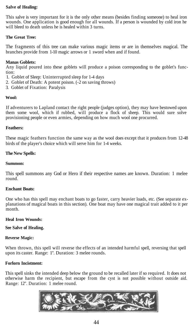# **Salve of Healing:**

This salve is very important for it is the only other means (besides finding someone) to heal iron wounds. One application is good enough for all wounds. If a person is wounded by cold iron he will bleed to death unless he is healed within 3 turns.

## **The Great Tree:**

The fragments of this tree can make various magic items or are in themselves magical. The branches provide from 1-10 magic arrows or 1 sword when and if found.

#### **Manas Goblets:**

Any liquid poured into these goblets will produce a poison corresponding to the goblet's function:

- 1. Goblet of Sleep: Uninterrupted sleep for 1-4 days
- 2. Goblet of Death: A potent poison. (-2 on saving throws)
- 3. Goblet of Fixation: Paralysis

#### **Wool:**

If adventurers to Lapland contact the right people (judges option), they may have bestowed upon them some wool, which if rubbed, will produce a flock of sheep. This would sure solve provisioning people or even armies, depending on how much wool one procurred.

#### **Feathers:**

These magic feathers function the same way as the wool does except that it produces from 12-48 birds of the player's choice which will serve him for 1-4 weeks.

#### **The New Spells:**

#### **Summon:**

This spell summons any God or Hero if their respective names are known. Duration: 1 melee round.

#### **Enchant Boats:**

One who has this spell may enchant boats to go faster, carry heavier loads, etc. (See separate explanations of magical boats in this section). One boat may have one magical trait added to it per month.

#### **Heal Iron Wounds:**

## **See Salve of Healing.**

#### **Reverse Magic:**

When thrown, this spell will reverse the effects of an intended harmful spell, reversing that spell upon its caster. Range: 1". Duration: 3 melee rounds.

#### **Forlorn Incistment:**

This spell sinks the intended deep below the ground to be recalled later if so required. It does not otherwise harm the recipient, but escape from the cyst is not possible without outside aid. Range: 12". Duration: 1 melee round.

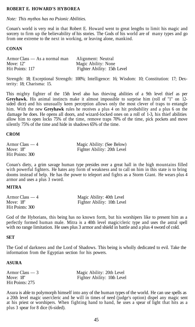# **ROBERT E. HOWARD'S HYBOREA**

# *Note: This mythos has no Psionic Abilities.*

Conan's world is very real in that Robert E. Howard went to great lengths to limit his magic and sorcery to firm up the believability of his stories. The Gods of his world are of many types and go from one extreme to the next in working, or leaving alone, mankind.

# **CONAN**

| Armor Class — As a normal man | Alignment: Neutral          |
|-------------------------------|-----------------------------|
| Move: 12"                     | Magic Ability: None         |
| Hit Points: 117               | Fighter Ability: 15th Level |

Strength: 18; Exceptional Strength: 100%; Intelligence: 16; Wisdom: 10; Constitution: 17; Dexterity: 18; Charisma: 15.

This mighty fighter of the 15th level also has thieving abilities of a 9th level thief as per **Greyhawk.** His animal instincts make it almost impossible to surprise him (roll of "1" on 12 sided dice) and his unusually keen perception allows only the most clever of traps to entangle him. With the new **Greyhawk** rules he receives a plus 4 on hit probability and a plus 6 on the damage he does. He opens all doors, and wizard-locked ones on a roll of 1-3, his thief abilities allow him to open locks 75% of the time, remove traps 70% of the time, pick pockets and move silently 75% of the time and hide in shadows 65% of the time.

## **CROM**

| Armor Class — 4 | Magic Ability: (See Below)  |
|-----------------|-----------------------------|
| Move: 18"       | Fighter Ability: 20th Level |
| Hit Points: 300 |                             |

Conan's diety, a grim savage human type presides over a great hall in the high mountains filled with powerful fighters. He hates any form of weakness and to call on him in this state is to bring dooms instead of help. He has the power to teleport and fights as a Storm Giant. He wears plus 4 armor and uses a plus 3 sword.

#### **MITRA**

| Armor Class $-4$ | Magic Ability: 40th Level   |
|------------------|-----------------------------|
| Move: 18"        | Fighter Ability: 10th Level |
| Hit Points: 300  |                             |

God of the Hyborians, this being has no known form, but his worshipers like to present him as a perfectly formed human male. Mitra is a 40th level magic/cleric type and uses the astral spell with no range limitation. He uses plus 3 armor and shield in battle and a plus 4 sword of cold.

## **SET**

The God of darkness and the Lord of Shadows. This being is wholly dedicated to evil. Take the information from the Egyptian section for his powers.

# **ASURA**

| Armor Class $-3$ | Magic Ability: 20th Level   |
|------------------|-----------------------------|
| Move: 18"        | Fighter Ability: 10th Level |
| Hit Points: 275  |                             |

Asura is able to polymorph himself into any of the human types of the world. He can use spells as a 20th level magic user/cleric and he will in times of need (judge's option) dispel any magic sent at his priest or worshipers. When fighting hand to hand, he uses a spear of light that hits as a plus 3 spear for 8 dice (6-sided).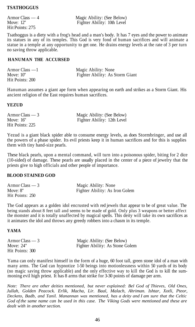## **TSATHOGGUS**

Hit Points: 275

Armor Class — 4 **Magic Ability: (See Below)**<br>Move: 12" Fighter Ability: 10th Level Fighter Ability: 10th Level

Tsathoggus is a diety with a frog's head and a man's body. It has 7 eyes and the power to animate its statues in any of its temples. This God is very fond of human sacrifices and will animate a statue in a temple at any opportunity to get one. He drains energy levels at the rate of 3 per turn no saving throw applicable.

#### **HANUMAN THE ACCURSED**

| Armor Class $-1$ | Magic Ability: None             |
|------------------|---------------------------------|
| Move: $10"$      | Fighter Ability: As Storm Giant |
| Hit Points: 200  |                                 |

Hanuman assumes a giant ape form when appearing on earth and strikes as a Storm Giant. His ancient religion of the East requires human sacrifices.

#### **YEZUD**

| Armor Class $-3$ | Magic Ability: (See Below)  |
|------------------|-----------------------------|
| Move: $16"$      | Fighter Ability: 12th Level |
| Hit Points: 225  |                             |

Yezud is a giant black spider able to consume energy levels, as does Stormbringer, and use all the powers of a phase spider. Its evil priests keep it in human sacrifices and for this is supplies them with tiny hand-size pearls.

These black pearls, upon a mental command, will turn into a poisonous spider, biting for 2 dice (10-sided) of damage. These pearls are usually placed in the center of a piece of jewelry that the priests give to high officials and other people of importance.

#### **BLOOD STAINED GOD**

| Armor Class — 3 | Magic Ability: None            |
|-----------------|--------------------------------|
| Move: 8"        | Fighter Ability: As Iron Golem |
| Hit Points: 250 |                                |

The God appears as a golden idol encrusted with red jewels that appear to be of great value. The being stands about 8 feet tall and seems to be made of gold. Only plus 3 weapons or better affect the monster and it is totally unaffected by magical spells. This deity will take its own sacrifices as it animates the idol and throws any greedy robbers into a chasm in its temple.

#### **YAMA**

| Armor Class $-3$ | Magic Ability: (See Below)      |
|------------------|---------------------------------|
| Move: $24"$      | Fighter Ability: As Stone Golem |
| Hit Points: 300  |                                 |

Yama can only manifest himself in the form of a huge, 60 foot tall, green stone idol of a man with many arms. The God can hypnotize 1-50 beings into motionlessness within 50 yards of its body (no magic saving throw applicable) and the only effective way to kill the God is to kill the summoning evil high priest. It has 8 arms that strike for 3-30 points of damage per arm.

*Note: There are other deities mentioned, but never explained: Bel God of Thieves, Old Ones, Jullah, Golden Peacock. Erlik, Macha, Lir. Baal, Malach, Ahriman. Ishtar, Xotli, Pteor, Decketo, Badb, and Tanil. Manannan was mentioned, has a deity and I am sure that the Celtic God of the same name can be used in this case. The Viking Gods were mentioned and these are dealt with in another section.*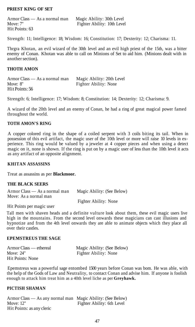# **PRIEST KING OF SET**

Armor Class — As a normal man Magic Ability: 30th Level Move: 7" Fighter Ability: 10th Level Hit Points: 63

Strength: 11; Intelligence: 18; Wisdom: 16; Constitution: 17; Dexterity: 12; Charisma: 11.

Thrgra Khotan, an evil wizard of the 30th level and an evil high priest of the 15th, was a bitter enemy of Conan. Khotan was able to call on Minions of Set to aid him. (Minions dealt with in another section).

# **THOTH AMON**

Armor Class — As a normal man Magic Ability: 20th Level Move: 8" Fighter Ability: None Hit Points: 56

Strength: 6; Intelligence: 17; Wisdom: 8; Constitution: 14; Dexterity: 12; Charisma: 9.

A wizard of the 20th level and an enemy of Conan, he had a ring of great magical power famed throughout the world.

#### **TOTH AMON'S RING**

A copper colored ring in the shape of a coiled serpent with 3 coils biting its tail. When in possession of this evil artifact, the magic user of the 10th level or more will raise 10 levels in experience. This ring would be valued by a jeweler at 4 copper pieces and when using a detect magic on it, none is shown. If the ring is put on by a magic user of less than the 10th level it acts as any artifact of an opposite alignment.

#### **KHITAN ASSASSINS**

Treat as assassins as per **Blackmoor.**

#### **THE BLACK SEERS**

Armor Class — As a normal man Magic Ability: (See Below) Move: As a normal man Fighter Ability: None

Hit Points per magic user

Tall men with shaven heads and a definite vulture look about them, these evil magic users live high in the mountains. From the second level onwards these magicians can cast illusions and hypnotize and from the 4th level onwards they are able to animate objects which they place all over their castles.

#### **EPEMSTREUS THE SAGE**

| Armor Class — ethereal | Magic Ability: (See Below) |
|------------------------|----------------------------|
| Move: $24"$            | Fighter Ability: None      |
| Hit Points: None       |                            |

Epemstreus was a powerful sage entombed 1500 years before Conan was bom. He was able, with the help of the Gods of Law and Neutrality, to contact Conan and advise him. If anyone is foolish enough to attack him treat him as a 40th level liche as per **Greyhawk.**

### **PICTISH SHAMAN**

Armor Class — As any normal man Magic Ability: (See Below) Move: 12" Fighter Ability: 6th Level Hit Points: as any cleric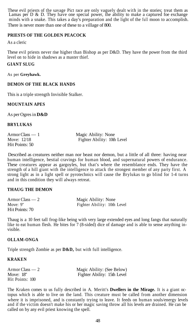These evil priests of the savage Pict race are only vaguely dealt with in the stories; treat them as Lamas per  $D \& D$ . They have one special power, the ability to make a captured foe exchange minds with a snake. This takes a day's preparation and the light of the full moon to accomplish. There is never more than one of these to a village of 800.

# **PRIESTS OF THE GOLDEN PEACOCK**

As a cleric

These evil priests never rise higher than Bishop as per D&D. They have the power from the third level on to hide in shadows as a master thief.

# **GIANT SLUG**

As per **Greyhawk.**

## **DEMON OF THE BLACK HANDS**

This is a triple strength Invisible Stalker.

#### **MOUNTAIN APES**

As per Ogres in **D&D**

# **BRYLUKAS**

| $Armor Class - 1$ | Magic Ability: None         |
|-------------------|-----------------------------|
| Move: 12/18       | Fighter Ability: 10th Level |
| Hit Points: 50    |                             |

Described as creatures neither man nor beast nor demon, but a little of all three: having near human intelligence, bestial cravings for human blood, and supernatural powers of endurance. These creatures appear as gargoyles, but that's where the resemblance ends. They have the strength of a hill giant with the intelligence to attack the strongest member of any party first. A strong light as in a light spell or pyrotechnics will cause the Brylukas to go blind for 1-4 turns and in this condition they will always retreat.

## **THAUG THE DEMON**

| Armor Class — 2 | Magic Ability: None         |
|-----------------|-----------------------------|
| Move: $9"$      | Fighter Ability: 10th Level |
| Hit Points: 70  |                             |

Thaug is a 10 feet tall frog-like being with very large extended eyes and long fangs that naturally like to eat human flesh. He bites for 7 (8-sided) dice of damage and is able to sense anything invisible.

## **OLLAM-ONGA**

Triple strength Zombie as per **D&D,** but with full intelligence.

## **KRAKEN**

| Armor Class $-2$ | Magic Ability: (See Below)  |
|------------------|-----------------------------|
| Move: 18"        | Fighter Ability: 15th Level |
| Hit Points: 100  |                             |

The Kraken comes to us fully described in A. Meritt's **Dwellers in the Mirage.** It is a giant octopus which is able to live on the land. This creature must be called from another dimension where it is imprisoned, and is constantly trying to leave. It feeds on human souls/energy levels and if the victim doesn't make his or her magic saving throw all his levels are drained. He can be called on by any evil priest knowing the spell.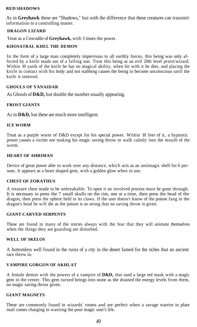## **RED SHADOWS**

As in **Greyhawk** these are "Shadows," but with the difference that these creatures can transmit information to a controlling master.

# **DRAGON LIZARD**

Treat as a Crocodile of **Greyhawk,** with 3 times the power.

# **KHOSATRAL KHEL THE DEMON**

In the form of a large man completely impervious to all earthly forces, this being was only affected by a knife made out of a falling star. Treat this being as an evil 20th level priest/wizard. Within 10 yards of the knife he has no magical ability, when hit with it he dies, and placing the knife in contact with his body and not stabbing causes the being to become unconscious until the knife is removed.

## **GHOULS OF YANAIDAR**

As Ghouls of **D&D,** but double the number usually appearing.

# **FROST GIANTS**

As in **D&D,** but these are much more intelligent.

## **ICE WORM**

Treat as a purple worm of D&D except for his special power. Within 10 feet of it, a hypnotic power causes a victim not making his magic saving throw to walk calmly into the mouth of the worm.

# **HEART OF AHRIMAN**

Device of great power able to work over any distance, which acts as an antimagic shell for 6 persons. It appears as a heart shaped gem, with a golden glow when in use.

#### **CHEST OF ZORATHUS**

A treasure chest made to be unbreakable. To open it an involved process must be gone through. It is necessary to press the 7 small skulls on the rim, one at a time, then press the head of the dragon, then press the sphere held in its claws. If the user doesn't know of the poison fang in the dragon's head he will die as the poison is so strong that no saving throw is given.

# **GIANT CARVED SERPENTS**

These are found in many of the stories always with the fear that they will animate themselves when the things they are guarding are disturbed.

# **WELL OF SKELOS**

A bottomless well found in the ruins of a city in the desert famed for the riches that an ancient race threw in.

## **VAMPIRE GORGON OF AKHLAT**

A female demon with the powers of a vampire of **D&D,** that used a large red mask with a magic gem in the center. This gem turned beings into stone as she drained the energy levels from them, no magic saving throw given.

#### **GIANT MAGNETS**

These are commonly found in wizards' rooms and are perfect when a savage warrior in plate mail comes charging in wanting the poor magic user's life.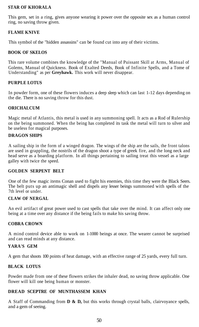# **STAR OF KHORALA**

This gem, set in a ring, gives anyone wearing it power over the opposite sex as a human control ring, no saving throw given.

# **FLAME KNIVE**

This symbol of the "hidden assassins" can be found cut into any of their victims.

# **BOOK OF SKELOS**

This rare volume combines the knowledge of the "Manual of Puissant Skill at Arms, Manual of Golems, Manual of Quickness. Book of Exalted Deeds, Book of Infinite Spells, and a Tome of Understanding" as per **Greyhawk.** This work will never disappear.

# **PURPLE LOTUS**

In powder form, one of these flowers induces a deep sleep which can last 1-12 days depending on the die. There is no saving throw for this dust.

## **ORICHALCUM**

Magic metal of Atlantis, this metal is used in any summoning spell. It acts as a Rod of Rulership on the being summoned. When the being has completed its task the metal will turn to silver and be useless for magical purposes.

## **DRAGON SHIPS**

A sailing ship in the form of a winged dragon. The wings of the ship are the sails, the front talons are used in grappling, the nostrils of the dragon shoot a type of greek fire, and the long neck and head serve as a boarding platform. In all things pertaining to sailing treat this vessel as a large galley with twice the speed.

## **GOLDEN SERPENT BELT**

One of the few magic items Conan used to fight his enemies, this time they were the Black Seers. The belt puts up an antimagic shell and dispels any lesser beings summoned with spells of the 7th level or under.

# **CLAW OF NERGAL**

An evil artifact of great power used to cast spells that take over the mind. It can affect only one being at a time over any distance if the being fails to make his saving throw.

## **COBRA CROWN**

A mind control device able to work on 1-1000 beings at once. The wearer cannot be surprised and can read minds at any distance.

# **YARA'S GEM**

A gem that shoots 100 points of heat damage, with an effective range of 25 yards, every full turn.

# **BLACK LOTUS**

Powder made from one of these flowers strikes the inhaler dead, no saving throw applicable. One flower will kill one being human or monster.

# **DREAD SCEPTRE OF MUNTHASSEM KHAN**

A Staff of Commanding from **D & D,** but this works through crystal balls, clairvoyance spells, and a gem of seeing.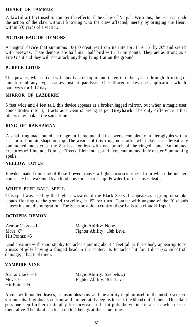### **HEART OF TAMMUZ**

A lawful artifact used to counter the effects of the Claw of Nergal. With this, the user can undo the action of the claw without knowing who the claw affected, merely by bringing the Heart within 500 yards of a victim.

# **PICTISH BAG OF DEMONS**

A magical device that summons 10-100 creatures from its interior. It is 16" by 30" and sealed with beeswax. These demons are half man half bird with 35 hit points. They are as strong as a Fire Giant and they will not attack anything lying flat on the ground.

#### **PURPLE LOTUS**

This powder, when mixed with any type of liquid and taken into the system through drinking or puncture of any type, causes instant paralysis. One flower makes one application which paralyzes for 1-12 days.

#### **MIRROR OF LAZBEKRI**

5 feet wide and 4 feet tall, this device appears as a broken jagged mirror, but when a magic user concentrates into it, it acts as a Gem of Seeing as per **Greyhawk.** The only difference is that others may look at the same time.

#### **RING OF RAKHAMAN**

A small ring made out of a strange dull blue metal. It's covered completely in hieroglyphs with a seal in a rhombic shape on top. The wearer of this ring, no matter what class, can defeat any summoned monster of the 8th level or less with one punch of the ringed hand. Summoned creatures will include Djinns. Efreets, Elementals, and those summoned in Monster Summoning spells.

#### **YELLOW LOTUS**

Powder made from one of these flowers causes a light unconsciousness from which the inhaler can easily be awakened by a loud noise or a sharp slap. Powder from 2 causes death.

#### **WHITE PUFF BALL SPELL**

This spell was used by the highest wizards of the Black Seers. It appears as a group of smoke clouds floating to the ground traveling at 15" per turn. Contact with anyone of the 30 clouds causes instant disintegration. The Seers are able to control these balls as a cloudkill spell.

### **OCTOPUS DEMON**

| Armor Class $-1$ | Magic Ability: None         |
|------------------|-----------------------------|
| Move: 8"         | Fighter Ability: 10th Level |
| Hit Points: 45   |                             |

Land creature with short stubby tentacles standing about 4 feet tall with its body appearing to be a mass of jelly having a fanged head in the center. Its tentacles hit for 3 dice (six sided) of damage, it has 8 of them.

#### **VAMPIRE VINE**

| Armor Class — 8 | Magic Ability: (see below)  |
|-----------------|-----------------------------|
| Move: $0$       | Fighter Ability: 10th Level |
| Hit Points: 50  |                             |

A vine with pointed leaves, crimson blossoms, and the ability to plant itself in the most severe environments. It grabs its victims and immediately begins to suck the blood out of them. This plant goes one step further in its play for survival in that it puts the victims in a stasis which keeps them alive. The plant can keep up to 4 beings at the same time.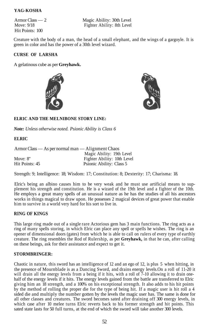# **YAG-KOSHA**

Hit Points: 100

Armor Class — 2 Magic Ability: 30th Level<br>Move: 9/18 Fighter Ability: 8th Level Fighter Ability: 8th Level

Creature with the body of a man, the head of a small elephant, and the wings of a gargoyle. It is green in color and has the power of a 30th level wizard.

# **CURSE OF LARSHA**

A gelatinous cube as per **Greyhawk.**





# **ELR1C AND THE MELNIBONE STORY LINE:**

*Note: Unless otherwise noted. Psionic Ability is Class 6*

## **ELRIC**

Armor Class — As per normal man — Alignment Chaos

Magic Ability: 19th Level Move: 8" Fighter Ability: 10th Level Hit Points: 45 Psionic Ability: Class 5

Strength: 9; Intelligence: 18; Wisdom: 17; Constitution: 8; Dexterity: 17; Charisma: 18.

Elric's being an albino causes him to be very weak and he must use artificial means to supplement his strength and constitution. He is a wizard of the 19th level and a fighter of the 10th. He employs a great many spells of an unusual nature as he has the studies of all his ancestors works in things magical to draw upon. He possesses 2 magical devices of great power that enable him to survive in a world very hard for his sort to live in.

## **RING OF KINGS**

This large ring made out of a single rare Actorious gem has 3 main functions. The ring acts as a ring of many spells storing, in which Elric can place any spell or spells he wishes. The ring is an opener of dimensional doors (gates) from which he is able to call on rulers of every type of earthly creature. The ring resembles the Rod of Rulership, as per **Greyhawk,** in that he can, after calling on these beings, ask for their assistance and expect to get it.

#### **STORMBRINGER:**

Chaotic in nature, this sword has an intelligence of 12 and an ego of 12, is plus 5 when hitting, in the presence of Mournblade is as a Dancing Sword, and drains energy levels.On a roll of 11-20 it will drain all the energy levels from a being if it hits, with a roll of  $\tilde{7}$ -10 allowing it to drain onehalf of the energy levels if it hits. The energy levels gained from the battle are transferred to Elric giving him an 18 strength, and a 100% on his exceptional strength. It also adds to his hit points by the method of rolling the proper die for the type of being hit. If a magic user is hit roll a 4 sided die and multiply the number gotten by the levels the magic user has. The same is done for all other classes and creatures. The sword becomes sated after draining off 300 energy levels, in which case after 10 melee turns Elric reverts back to his former strength and hit points. This sated state lasts for 50 full turns, at the end of which the sword will take another 300 levels.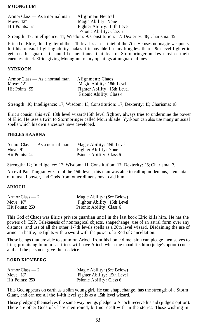## **MOONGLUM**

| Armor Class — As a normal man | Alignment Neutral           |
|-------------------------------|-----------------------------|
| Move: $12"$                   | Magic Ability: None         |
| Hit Points: 57                | Fighter Ability: 11th Level |
|                               | Psionic Ability: Class 6    |

Strength: 17; Intelligence: 11; Wisdom: 9; Constitution: 17: Dexterity: 18; Charisma: 15

Friend of Elric, this fighter of the 1lh level is also a thief of the 7th. He uses no magic weaponry, but his unusual fighting ability makes it impossible for anything less than a 9th level fighter to get past his guard. It should be mentioned that fear of Stormbringer makes most of their enemies attack Elric. giving Moonglum many openings at unguarded foes.

### **YYRKOON**

| Armor Class — As a normal man | Alignment: Chaos            |
|-------------------------------|-----------------------------|
| Move: $12"$                   | Magic Ability: 18th Level   |
| Hit Points: 95                | Fighter Ability: 15th Level |
|                               | Psionic Ability: Class 4    |

Strength: 16; Intelligence: 17; Wisdom: 13; Constitution: 17; Dexterity: 15; Charisma: 18

Elric's cousin, this evil 18th level wizard/15th level fighter, always tries to undermine the power of Elric. He uses a twin to Stormbringer called Mournblade. Yyrkoon can also use many unusual spells which his own ancestors have developed.

# **THELES KAARNA**

| Armor Class — As a normal man | Magic Ability: 15th Level |
|-------------------------------|---------------------------|
| Move: $9"$                    | Fighter Ability: None     |
| Hit Points: 44                | Psionic Ability: Class 6  |

Strength: 12; Intelligence: 17; Wisdom: 11; Constitution: 17; Dexterity: 15; Charisma: 7.

An evil Pan Tangian wizard of the 15th level, this man was able to call upon demons, elementals of unusual power, and Gods from other dimensions to aid him.

## **ARIOCH**

| Armor Class — 2 | Magic Ability: (See Below)  |
|-----------------|-----------------------------|
| Move: $18"$     | Fighter Ability: 15th Level |
| Hit Points: 250 | Psionic Ability: Class 6    |

This God of Chaos was Elric's private guardian until in the last book Elric kills him. He has the powers of: ESP, Telekenesis of nonmagical objects, shapechange, use of an astral form over any distance, and use of all the other 1-7th levels spells as a 30th level wizard. Disdaining the use of armor in battle, he fights with a sword with the power of a Rod of Cancellation.

Those beings that are able to summon Arioch from his home dimension can pledge themselves to him; promising human sacrifices will have Arioch when the mood fits him (judge's option) come and aid the person or give them advice.

## **LORD XIOMBERG**

| Armor Class $-2$ | Magic Ability: (See Below)  |
|------------------|-----------------------------|
| Move: $18"$      | Fighter Ability: 15th Level |
| Hit Points: 250  | Psionic Ability: Class 6    |

This God appears on earth as a slim young girl. He can shapechange, has the strength of a Storm Giant, and can use all the l-4th level spells as a 15th level wizard.

Those pledging themselves the same way beings pledge to Arioch receive his aid (judge's option). There are other Gods of Chaos mentioned, but not dealt with in the stories. Those wishing in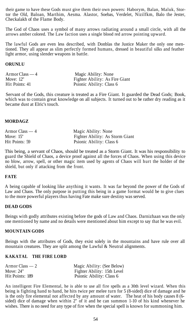their game to have these Gods must give them their own powers: Haborym, Balan, Maluk, Stortor the Old, Baloan, Marthim, Aesma. Alastor, Soebas, Verdelet, Nizilfkm, Balo the Jester, Checkalakh of the Flame Body.

The God of Chaos uses a symbol of many arrows radiating around a small circle, with all the arrows amber colored. The Law faction uses a single blood red arrow pointing upward.

The lawful Gods are even less described, with Donblas the Justice Maker the only one mentioned. They all appear as slim perfectly formed humans, dressed in beautiful silks and feather light armor, using slender weapons in battle.

## **ORUNLU**

| Armor Class — 4 | Magic Ability: None            |
|-----------------|--------------------------------|
| Move: 12"       | Fighter Ability: As Fire Giant |
| Hit Points: 41  | Psionic Ability: Class 6       |

Servant of the Gods, this creature is treated as a Fire Giant. It guarded the Dead Gods; Book, which was to contain great knowledge on all subjects. It turned out to be rather dry reading as it became dust at Elric's touch.

### **MORDAGZ**

| Armor Class $-4$ | Magic Ability: None             |
|------------------|---------------------------------|
| Move: $15"$      | Fighter Ability: As Storm Giant |
| Hit Points: 59   | Psionic Ability: Class 6        |

This being, a servant of Chaos, should be treated as a Storm Giant. It was his responsibility to guard the Shield of Chaos, a device proof against all the forces of Chaos. When using this device no blow, arrow, spell, or other magic item used by agents of Chaos will hurt the holder of the shield, but only if attacking from the front.

#### **FATE**

A being capable of looking like anything it wants. It was far beyond the power of the Gods of Law and Chaos. The only purpose in putting this being in a game format would be to give clues to the more powerful players thus having Fate make sure destiny was served.

#### **DEAD GODS**

Beings with godly attributes existing before the gods of Law and Chaos. Darnizhaan was the only one mentioned by name and no details were mentioned about him except to say that he was evil.

#### **MOUNTAIN GODS**

Beings with the attributes of Gods, they exist solely in the mountains and have rule over all mountain creatures. They are split among the Lawful & Neutral alignments.

#### **KAKATAL THE FIRE LORD**

| Armor Class — 2 | Magic Ability: (See Below)  |
|-----------------|-----------------------------|
| Move: 24"       | Fighter Ability: 15th Level |
| Hit Points: 189 | Psionic Ability: Class 6    |

An intelligent Fire Elemental, he is able to use all fire spells as a 30th level wizard. When this being is fighting hand to hand, he hits twice per melee turn for 5 (8-sided) dice of damage and he is the only fire elemental not affected by any amount of water. The heat of his body causes 8 (6 sided) dice of damage when within 2" of it and he can summon 1-10 of his kind whenever he wishes. There is no need for any type of fire when the special spell is known for summoning him.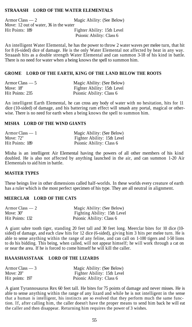## **STRAAASH LORD OF THE WATER ELEMENTALS**

Armor Class — 2 Magic Ability: (See Below) Move: 12 out of water, 36 in the water Hit Points: 189 Fighter Ability: 15th Level Psionic Ability: Class 6

An intelligent Water Elemental, he has the power to throw 2 water waves per melee turn, that hit for 8 (6-sided) dice of damage. He is the only Water Elemental not affected by heat in any way. Straaash hits as a double strength Water Elemental and can summon 3-18 of his kind in battle. There is no need for water when a being knows the spell to summon him.

#### **GROME LORD OF THE EARTH, KING OF THE LAND BELOW THE ROOTS**

| $Armor Class - 5$ | Magic Ability: (See Below)  |
|-------------------|-----------------------------|
| Move: 18"         | Fighter Ability: 15th Level |
| Hit Points: 235   | Psionic Ability: Class 6    |

An intelligent Earth Elemental, he can cross any body of water with no hesitation, hits for 11 dice (10-sided) of damage, and his battering ram effect will smash any portal, magical or otherwise. There is no need for earth when a being knows the spell to summon him.

#### **MISHA LORD OF THE WIND GIANTS**

| Armor Class $-1$ | Magic Ability: (See Below)  |  |
|------------------|-----------------------------|--|
| Move: 72"        | Fighter Ability: 15th Level |  |
| Hit Points: 189  | Psionic Ability: Class 6    |  |

Misha is an intelligent Air Elemental having the powers of all other members of his kind doubled. He is also not affected by anything launched in the air, and can summon 1-20 Air Elementals to aid him in battle.

## **MASTER TYPES**

These beings live in other dimensions called half-worlds. In these worlds every creature of earth has a ruler which is the most perfect specimen of his type. They are all neutral in alignment.

# **MEERCLAR LORD OF THE CATS**

| Armor Class $-2$ | Magic Ability: (See Below)   |
|------------------|------------------------------|
| Move: $30"$      | Fighting Ability: 15th Level |
| Hit Points: 132  | Psionic Ability: Class 6     |

A giant sabre tooth tiger, standing 20 feet tall and 30 feet long. Meerclar bites for 10 dice (10 sided) of damage, and each claw hits for 12 dice (6-sided), giving him 3 hits per melee turn. He is able to sense anything within the range of any feline, and can call on 1-100 tigers and 1-50 lions to do his bidding. This being, when called, will not appear himself; he will work through a cat on or near the area. If he is forced to come himself he will kill the caller.

# **HAAASHASSTAAK LORD OF THE LIZARDS**

| Armor Class $-3$ | Magic Ability: (See Below)  |  |
|------------------|-----------------------------|--|
| Move: $20"$      | Fighter Ability: 15th Level |  |
| Hit points: 197  | Psionic Ability: Class 6    |  |

A giant Tyrannosaurus Rex 60 feet tall. He bites for 75 points of damage and never misses. He is able to sense anything within the range of any lizard and while he is not intelligent in the sense that a human is intelligent, his instincts are so evolved that they perform much the same function. If, after calling him, the caller doesn't have the proper means to send him back he will eat the caller and then disappear. Returning him requires the power of 3 wishes.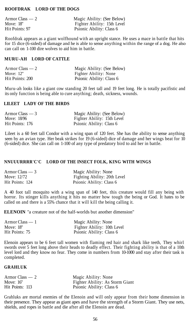### **ROOFDRAK LORD OF THE DOGS**

| Armor Class $-2$ | Magic Ability: (See Below)  |  |
|------------------|-----------------------------|--|
| Move: $18"$      | Fighter Ability: 15th Level |  |
| Hit Points: 97   | Psionic Ability: Class 6    |  |

Roofdrak appears as a giant wolfhound with an upright stance. He uses a mace in battle that hits for 15 dice (6-sided) of damage and he is able to sense anything within the range of a dog. He also can call on 1-100 dire wolves to aid him in battle.

#### **MURU-AH LORD OF CATTLE**

| Armor Class $-2$ | Magic Ability: (See Below) |  |
|------------------|----------------------------|--|
| Move: $12"$      | Fighter Ability: None      |  |
| Hit Points: 200  | Psionic Ability: Class 6   |  |

Muru-ah looks like a giant cow standing 20 feet tall and 19 feet long. He is totally pacifistic and its only function is being able to cure anything; death, sickness, wounds.

# **LILEET LADY OF THE BIRDS**

| Armor Class $-3$ | Magic Ability: (See Below)  |  |
|------------------|-----------------------------|--|
| Move: 18/96      | Fighter Ability: 15th Level |  |
| Hit Points: 176  | Psionic Ability: Class 6    |  |

Lileet is a 60 feet tall Condor with a wing span of 120 feet. She has the ability to sense anything seen by an avian type. Her beak strikes for 19 (6-sided) dice of damage and her wings beat for 10 (6-sided) dice. She can call on 1-100 of any type of predatory bird to aid her in battle.

#### **NNUUURRRR'C'C LORD OF THE INSECT FOLK, KING WITH WINGS**

| Armor Class — 3 | Magic Ability: None          |
|-----------------|------------------------------|
| Move: 12/72     | Fighting Ability: 20th Level |
| Hit Points: 124 | Psionic Ability: Class 6     |

A 40 foot tall mosquito with a wing span of 140 feet, this creature would fill any being with horror. Its stinger kills anything it hits no matter how tough the being or God. It hates to be called on and there is a 55% chance that it will kill the being calling it.

**ELENOIN** "a creature not of the half-worlds but another dimension"

| Armor Class $-1$ | Magic Ability: None         |
|------------------|-----------------------------|
| Move: 18"        | Fighter Ability: 10th Level |
| Hit Points: 75   | Psionic Ability: Class 6    |

Elenoin appears to be 6 feet tall women with flaming red hair and shark like teeth, They whirl swords over 5 feet long above their heads to deadly effect. Their fighting ability is that of a 10th level lord and they know no fear. They come in numbers from 10-1000 and stay after their task is completed.

# **GRAHLUK**

| Armor Class $-2$ | Magic Ability: None             |
|------------------|---------------------------------|
| Move: $16"$      | Fighter Ability: As Storm Giant |
| Hit Points: 113  | Psionic Ability: Class 6        |

Grahluks are mortal enemies of the Elenoin and will only appear from their home dimension in their presence. They appear as giant apes and have the strength of a Storm Giant. They use nets, shields, and ropes in battle and die after all the Elenoin are dead.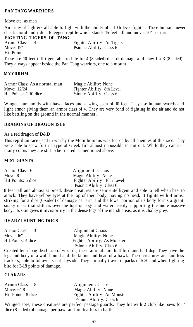## **PAN TANG WARRIORS**

Move etc. as men

An army of fighters all able to fight with the ability of a 10th level fighter. These humans never check moral and ride a 6 legged reptile which stands 15 feet tall and moves 20" per turn. **FIGHTING TIGERS OF TANG**

Hit Points

Armor Class — 4 Fighter Ability: As Tigers<br>Move: 19" Psionic Ability: Class 6 Psionic Ability: Class 6

These are 10 feet tall tigers able to bite for 4 (8-sided) dice of damage and claw for 3 (8-sided). They always appear beside the Pan Tang warriors, one to a mount.

## **MYYRRHM**

| Armor Class: As a normal man | Magic Ability: None        |
|------------------------------|----------------------------|
| Move: $12/24$                | Fighter Ability: 8th Level |
| Hit Points: 1-10 dice        | Psionic Ability: Class 6   |

Winged humanoids with hawk faces and a wing span of 10 feet. They use human swords and light armor giving them an armor class of 4. They are very fond of fighting in the air and do not like battling on the ground in the normal manner.

## **DRAGONS OF DRAGON ISLE**

#### As a red dragon of D&D

This reptilian race used in war by the Melnibonians was feared by all enemies of this race. They were able to spew forth a type of Greek fire almost impossible to put out. While they came in many colors they are still to be treated as mentioned above.

# **MIST GIANTS**

| Armor Class: 6     | Alignment: Chaos            |
|--------------------|-----------------------------|
| Move: 8"           | Magic Ability: None         |
| Hit Points: 6 dice | Fighter Ability: 10th Level |
|                    | Psionic Ability: Class 6    |

8 feet tall and almost as broad, these creatures are semi-intelligent and able to tell when best to attack. They have yellow eyes at the top of their body, having no head. It fights with 4 arms, striking for 3 dice (6-sided) of damage per arm and the lower portion of its body forms a giant snaky mass that slithers over the tops of bogs and water, easily supporting the more massive body. Its skin gives it invisibility in the dense fogs of the marsh areas, as it is chalky grey.

## **DHARZI HUNTING DOGS**

| Armor Class — 3    | Alignment Chaos             |
|--------------------|-----------------------------|
| Move: 16"          | Magic Ability: None         |
| Hit Points: 4 dice | Fighter Ability: As Monster |
|                    | Psionic Ability: Class 6    |

Created by a long dead race of wizards, these animals arc half bird and half dog. They have the legs and body of a wolf hound and the talons and head of a hawk. These creatures are faultless trackers, able to follow a scent days old. They normally travel in packs of 5-30 and when fighting bite for 3-18 points of damage.

# **CLAKARS**

| $Armor Class - 8$  | Alignment: Chaos            |
|--------------------|-----------------------------|
| Move: $6/18$       | Magic Ability: None         |
| Hit Points: 8 dice | Fighter Ability: As Monster |
|                    | Psionic Ability: Class 6    |

Winged apes, these creatures are perfect passage guards. They hit with 2 club like paws for 4 dice (8-sided) of damage per paw, and are fearless in battle.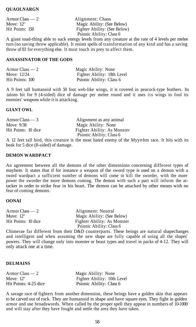# **QUAOLNARGN**

Armor Class — 2 **Alignment: Chaos**<br>
Move: 12" Magic Ability: (See Magic Ability: (See Below) Hit Points: 150 Fighter Ability: (See Below) Psionic Ability: Class 6

A giant toad-thing able to suck energy levels from any creature at the rate of 4 levels per melee turn (no saving throw applicable). It resists spells of transformation of any kind and has a saving throw of 03 for everything else. It must touch its prey to affect them.

#### **ASSASSINATOR OF THE GODS**

| Armor Class $-2$ | Magic Ability: None         |
|------------------|-----------------------------|
| Move: 12/24      | Fighter Ability: 18th Level |
| Hit Points: 100  | Psionic Ability: Class 6    |

A 9 feet tall humanoid with 50 foot web-like wings, it is covered in peacock-type feathers. Its talons hit for 9 (4-sided) dice of damage per melee round and it uses its wings to foul its enemies' weapons while it is attacking.

#### **GIANT OWL**

| Armor Class $-3$    | Alignment as any animal     |
|---------------------|-----------------------------|
| Move: 9/38          | Magic Ability: None         |
| Hit Points: 10 dice | Fighter Ability: As Monster |
|                     | Psionic Ability: Class 6    |

A 12 feet tall bird, this creature is the most hated enemy of the Myyrrhm race. It hits with its beak for 5 dice (8-sided) of damage.

## **DEMON WARDPACT**

An agreement between all the demons of the other dimensions concerning different types of mayhem. It states that if for instance a weapon of the sword type is used on a demon with a sword wardpact a sufficient number of demons will come to kill the sworder, with the more power the sworder the more demons coming. The demon with such a pact will inform the attacker in order to strike fear in his heart. The demon can be attacked by other means with no fear of coming demons.

#### **OONAI**

| Armor Class $-2$    | Alignment: Neutral          |
|---------------------|-----------------------------|
| Move: $12"$         | Magic Ability: (See Below)  |
| Hit Points: 10 dice | Fighter Ability: As Monster |
|                     | Psionic Ability: Class 6    |

Chimerae far different from their D&D counterparts. These beings are natural shapechanges and intelligent and when assuming the new shape are fully capable of using all the shapes' powers. They will change only into monster or beast types and travel in packs of 4-12. They will only attack one at a time.

# **DELMAINS**

| Armor Class $-2$      | Magic Ability: None         |
|-----------------------|-----------------------------|
| Move: $12"$           | Fighter Ability: 10th Level |
| Hit Points: 4-25 dice | Psionic Ability: Class 6    |

A savage race of fighters from another dimension, these beings have a golden skin that appears to be carved out of rock. They are humanoid in shape and have square eyes. They fight in golden armor and use broadswords. When called by the proper spell they appear in numbers of 10-1000 and will stay after they have fought and settle the area they have taken.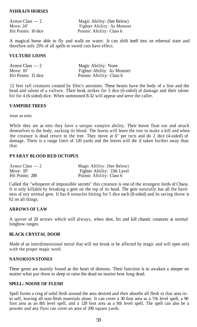## **NIHRAIN HORSES**

| Armor Class $-2$    | Magic Ability: (See Below)  |
|---------------------|-----------------------------|
| Move: $24"$         | Fighter Ability: As Monster |
| Hit Points: 10 dice | Psionic Ability: Class 6    |

A magical horse able to fly and walk on water. It can shift itself into an ethereal state and therefore only 25% of all spells or sword cuts have effect.

#### **VULTURE LIONS**

| Armor Class $-2$    | Magic Ability: None         |
|---------------------|-----------------------------|
| Move: $16"$         | Fighter Ability: As Monster |
| Hit Points: 15 dice | Psionic Ability: Class 6    |

12 feet tall creatures created by Elric's ancestors. These beasts have the body of a lion and the head and talons of a vulture. Their beak strikes for 3 dice (6-sided) of damage and their talons hit for 4 (6-sided) dice. When summoned 8-32 will appear and serve the caller.

#### **VAMPIRE TREES**

treat as ents

While they are as ents they have a unique vampire ability. Their leaves float out and attach themselves to the body, sucking its blood. The leaves will leave the tree to make a kill and when the creature is dead return to the tree. They move at 6" per turn and do 2 dice (4-sided) of damage. There is a range limit of 120 yards and the leaves will die if taken further away than that.

# **PYARAY BLOOD RED OCTOPUS**

| Armor Class $-2$ | Magic Ability: (See Below)  |
|------------------|-----------------------------|
| Move: $10"$      | Fighter Ability: 15th Level |
| Hit Points: 200  | Psionic Ability: Class 6    |

Called the "whisperer of impossible secrets" this creature is one of the strangest lords of Chaos. It is only killable by breaking a gem on the top of its head. The gem naturally has all the hardness of any normal gem. It has 8 tentacles hitting for 5 dice each (8-sided) and its saving throw is 02 on all things.

## **ARROWS OF LAW**

A quiver of 20 arrows which will always, when shot, hit and kill chaotic creatures at normal longbow ranges.

## **BLACK CRYSTAL DOOR**

Made of an interdimensional metal that will not break or be affected by magic and will open only with the proper magic word.

# **NANORION STONES**

These gems are mainly found as the heart of demons. Their function is to awaken a sleeper no matter what put them to sleep or raise the dead no matter how long dead.

## **SPELL: NOOSE OF FLESH**

Spell forms a ring of solid flesh around the area desired and then absorbs all flesh in that area into self, leaving all non-flesh materials alone. It can cover a 30 foot area as a 7th level spell, a 90 foot area as an 8th level spell, and a 120 foot area as a 9th level spell. The spell can also be a powder and any flyer can cover an area of 200 square yards.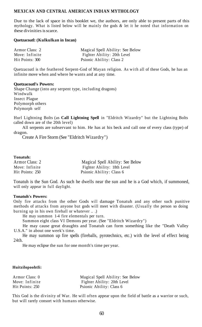## **MEXICAN AND CENTRAL AMERICAN INDIAN MYTHOLOGY**

Due to the lack of space in this booklet we, the authors, are only able to present parts of this mythology. What is listed below will be mainly the gods *&* let it he noted that information on these divinities is scarce.

#### **Quetzacoatl: (Kulkulkan in Incan)**

| Armor Class: 2  | Magical Spell Ability: See Below |
|-----------------|----------------------------------|
| Move: Infinite  | Fighter Ability: 20th Level      |
| Hit Points: 300 | Psionic Ability: Class 2         |

Quetzacoatl is the feathered Serpent-God of Mayan religion. As with all of these Gods, he has an infinite move when and where he wants and at any time.

#### **Quetzacoatl's Powers:**

Shape Change (into any serpent type, including dragons) Windwalk Insect Plague Polymorph others Polymorph self

Hurl Lightning Bolts (as **Call Lightning Spell** in "Eldritch Wizardry" but the Lightning Bolts called down are of the 20th level)

All serpents are subservant to him. He has at his beck and call one of every class (type) of dragon.

Create A Fire Storm (See "Eldritch Wizardry")

#### **Tonatuh:**

| Armor Class: 2  | Magical Spell Ability: See Below |
|-----------------|----------------------------------|
| Move: Infinite  | Fighter Ability: 18th Level      |
| Hit Points: 250 | Psionic Ability: Class 6         |

Tonatuh is the Sun God. As such he dwells near the sun and he is a God which, if summoned, will only appear in full daylight.

#### **Tonatuh's Powers:**

Only fire attacks from the other Gods will damage Tonatuh and any other such punitive methods of attacks from anyone but gods will meet with disaster. (Usually the person so doing burning up in his own fireball or whatever .. .)

He may summon 1-4 fire elementals per turn.

Summon eight class VI Demons per year. (See "Eldritch Wizardry")

He may cause great draughts and Tonatuh can form something like the "Death Valley U.S.A." in about one week's time.

He may summon up fire spells (fireballs, pyrotechnics, etc.) with the level of effect being 24th.

He may eclipse the sun for one month's time per year.

#### **Huitzilopoohtli:**

| Armor Class: 0  | Magical Spell Ability: See Below |
|-----------------|----------------------------------|
| Move: Infinite  | Fighter Ability: 20th Level      |
| Hit Points: 250 | Psionic Ability: Class 6         |

This God is the divinity of War. He will often appear upon the field of battle as a warrior or such, but will rarely consort with humans otherwise.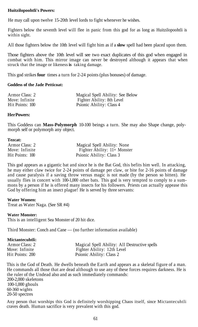#### **Huitzilopoohtli's Powers:**

He may call upon twelve 15-20th level lords to fight whenever he wishes.

Fighters below the seventh level will flee in panic from this god for as long as Huitzilopoohtli is within sight.

All those fighters below the 10th level will fight him as if a **slow** spell had been placed upon them.

Those fighters above the 10th level will see two exact duplicates of this god when engaged in combat with him. This mirror image can never be destroyed although it appears that when struck that the image or likeness **is** taking damage.

This god strikes **four** times a turn for 2-24 points (plus bonuses) of damage.

#### **Goddess of the Jade Petticoat:**

| Armor Class: 2  | Magical Spell Ability: See Below |
|-----------------|----------------------------------|
| Move: Infinite  | Fighter Ability: 8th Level       |
| Hit Points: 100 | Psionic Ability: Class 4         |

#### **Her Powers:**

This Goddess can **Mass-Polymorph** 10-100 beings a turn. She may also Shape change, polymorph self or polymorph any object.

#### **Tezcat:**

| Armor Class: 2  | Magical Spell Ability: None  |
|-----------------|------------------------------|
| Move: Infinite  | Fighter Ability: 11+ Monster |
| Hit Points: 100 | Psionic Ability: Class 3     |

This god appears as a gigantic bat and since he is the Bat God, this befits him well. In attacking, he may either claw twice for 2-24 points of damage per claw, or bite for 2-16 points of damage and cause paralysis if a saving throw versus magic is not made (by the person so bitten). He usually flies in concert with 100-1,000 other bats. This god is very tempted to comply to a summons by a person if he is offered many insects for his followers. Priests can actually appease this God by offering him an insect plague! He is served by three servants:

#### **Water Women:**

Treat as Water Naga. (See SR #4)

#### **Water Monster:**

This is an intelligent Sea Monster of 20 hit dice.

Third Monster: Conch and Cane — (no further information available)

#### **Mictantecuhtli:**

| Armor Class: 2  | Magical Spell Ability: All Destructive spells |
|-----------------|-----------------------------------------------|
| Move: Infinite  | Fighter Ability: 12th Level                   |
| Hit Points: 200 | Psionic Ability: Class 2                      |

This is the God of Death. He dwells beneath the Earth and appears as a skeletal figure of a man. He commands all those that are dead although to use any of these forces requires darkness. He is the ruler of the Undead also and as such immediately commands: 200-2,000 skeletons 100-1,000 ghouls 60-360 wights 20-50 spectres

Any person that worships this God is definitely worshipping Chaos itself, since Mictantecuhtli craves death. Human sacrifice is very prevalent with this god.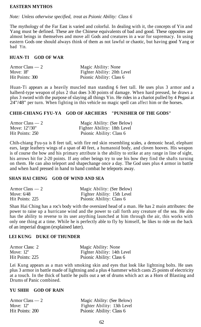#### **EASTERN MYTHOS**

#### *Note: Unless otherwise specified, treat as Psionic Ability: Class 6*

The mythology of the Far East is varied and colorful. In dealing with it, the concepts of Yin and Yang must be defined. These are the Chinese equivalents of bad and good. These opposites are almost beings in themselves and move all Gods and creatures in a war for supremacy. In using eastern Gods one should always think of them as not lawful or chaotic, but having good Yang or bad Yin.

#### **HUAN-TI GOD OF WAR**

| Armor Class $-2$ | Magic Ability: None         |
|------------------|-----------------------------|
| Move: $18"$      | Fighter Ability: 20th Level |
| Hit Points: 300  | Psionic Ability: Class 6    |

Huan-Ti appears as a heavily muscled man standing 6 feet tall. He uses plus 3 armor and a halberd-type weapon of plus 2 that does 3-30 points of damage. When hard pressed, he draws a plus 3 sword with the purpose of slaying all things Yin. He rides in a chariot pulled by 4 Pegasi at 24"/48" per turn. When fighting in this vehicle no magic spell can affect him or the horses.

# **CHIH-CHIANG FYU-YA GOD OF ARCHERS "PUNISHER OF THE GODS"**

| Armor Class $-2$ | Magic Ability: (See Below)  |
|------------------|-----------------------------|
| Move: 12"/30"    | Fighter Ability: 18th Level |
| Hit Points: 250  | Psionic Ability: Class 6    |

Chih-chiang Fyu-ya is 8 feet tall, with fire red skin resembling scales, a demonic head, elephant ears, large leathery wings of a span of 40 feet, a humanoid body, and cloven hooves. His weapon is of course the bow and his primary attribute is the ability to strike at any range in line of sight, his arrows hit for 2-20 points. If any other beings try to use his bow they find the shafts turning on them. He can also teleport and shapechange once a day. The God uses plus 4 armor in battle and when hard pressed in hand to hand combat he teleports away.

#### **SHAN HAI CHING GOD OF WIND AND SEA**

| Armor Class $-2$ | Magic Ability: (See Below)  |
|------------------|-----------------------------|
| Move: 6/48       | Fighter Ability: 15th Level |
| Hit Points: 225  | Psionic Ability: Class 6    |

Shan Hai Ching has a roc's body with the oversized head of a man. He has 2 main attributes: the power to raise up a hurricane wind and the power to call forth any creature of the sea. He also has the ability to reverse to its user anything launched at him through the air, this works with only one thing at a time. While he is perfectly able to fly by himself, he likes to ride on the back of an imperial dragon (explained later).

## **LEI KUNG DUKE OF THUNDER**

| Armor Class: 2  | Magic Ability: None         |
|-----------------|-----------------------------|
| Move: $12"$     | Fighter Ability: 14th Level |
| Hit Points: 225 | Psionic Ability: Class 6    |

Lei Kung appears as a man with smoking skin and eyes that look like lightning bolts. He uses plus 3 armor in battle made of lightning and a plus 4 hammer which casts 25 points of electricity at a touch. In the thick of battle he pulls out a set of drums which act as a Horn of Blasting and Drums of Panic combined.

## **YU SHIH GOD OF RAIN**

| Armor Class $-2$ | Magic Ability: (See Below)  |
|------------------|-----------------------------|
| Move: $12"$      | Fighter Ability: 13th Level |
| Hit Points: 200  | Psionic Ability: Class 6    |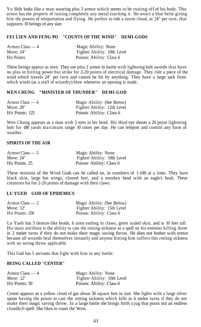Yu Shih looks like a man wearing plus 3 armor which seems to be rusting off of his body. This armor has the property of rusting completely any metal touching it. He wears a blue helm giving him the powers of teleportation and flying. He prefers to ride a storm cloud, at 24" per turn, that supports 10 beings of any size.

#### **FEI LIEN AND FENG PO "COUNTS OF THE WIND" DEMI-GODS**

| $A$ rmor Class — 4 | Magic Ability: None         |
|--------------------|-----------------------------|
| Move: $24"$        | Fighter Ability: 10th Level |
| <b>Hit Points</b>  | Psionic Ability: Class 6    |

These beings appear as men. They use plus 2 armor in battle with lightning bolt swords that have no plus in hitting power but strike for 2-20 points of electrical damage. They ride a piece of the wind which travels 24" per turn and cannot be hit by anything. They have a large sack from which winds (as a staff of wizardry) blow whenever an opening is made.

# **WEN CHUNG "MINISTER OF THUNDER" DEMI-GOD**

| Armor Class $-4$ | Magic Ability: (See Below)  |
|------------------|-----------------------------|
| Move: 28"        | Fighter Ability: 12th Level |
| Hit Points: 125  | Psionic Ability: Class 6    |

Wen Chung appears as a man with 3 eyes in his head. His third eye shoots a 20 point lightning bolt for 180 yards maximum range 10 times per day. He can teleport and control any form of weather.

#### **SPIRITS OF THE AIR**

| $Armor Class - 5$ | Magic Ability: None         |
|-------------------|-----------------------------|
| Move: $24"$       | Fighter Ability: 10th Level |
| Hit Points: 25    | Psionic Ability: Class 6    |

These minions of the Wind Gods can be called on, in numbers of 1-100 at a time. They have black skin, large bat wings, clawed feet, and a monkey head with an eagle's beak. These creatures hit for 2-20 points of damage with their claws.

## **LU YUEH GOD OF EPIDEMICS**

| Armor Class $-2$ | Magic Ability: (See Below)  |  |
|------------------|-----------------------------|--|
| Move: $12"$      | Fighter Ability: 15th Level |  |
| Hit Points: 250  | Psionic Ability: Class 6    |  |

Lu Yueh has 3 demon-like heads, 6 arms ending in claws, green scaled skin, and is 10 feet tall. His main attribute is the ability to cast the rotting sickness as a spell on his enemies killing them in 2 melee turns if they do not make their magic saving throw. He does not bother with armor because all wounds heal themselves instantly and anyone hitting him suffers this rotting sickness with no saving throw applicable.

This God has 5 servants that fight with him in any battle:

#### **BEING CALLED "CENTER"**

| Armor Class $-4$ | Magic Ability: None         |
|------------------|-----------------------------|
| Move: 12"        | Fighter Ability: 10th Level |
| Hit Points: 50   | Psionic Ability: Class 6    |

Center appears as a yellow cloud of gas about 30 square feet in size. She fights with a large silver spoon having the power to cast the rotting sickness which kills in 6 melee turns if they do not make their magic saving throw. In a large battle she brings forth a jug that pours out an endless cloudkill spell. She likes to roam the West.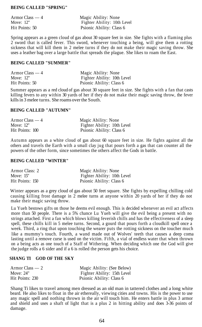#### **BEING CALLED "SPRING"**

| Armor Class $-4$ | Magic Ability: None         |
|------------------|-----------------------------|
| Move: 12"        | Fighter Ability: 10th Level |
| Hit Points: 50   | Psionic Ability: Class 6    |

Spring appears as a green cloud of gas about 30 square feet in size. She fights with a flaming plus 2 sword that is called fever. This sword, whenever touching a being, will give them a rotting sickness that will kill them in 2 melee turns if they do not make their magic saving throw. She uses a leather bag over a large battle that spreads the plague. She likes to roam the East.

#### **BEING CALLED "SUMMER"**

| Armor Class $-4$ | Magic Ability: None         |
|------------------|-----------------------------|
| Move: 12"        | Fighter Ability: 10th Level |
| Hit Points: 50   | Psionic Ability: Class 6    |

Summer appears as a red cloud of gas about 30 square feet in size. She fights with a fan that casts killing fevers to any within 30 yards of her if they do not make their magic saving throw, the fever kills in 3 melee turns. She roams over the South.

# **BEING CALLED "AUTUMN"**

| $A$ rmor Class — 4 | Magic Ability: None         |
|--------------------|-----------------------------|
| Move: 12"          | Fighter Ability: 10th Level |
| Hit Points: 100    | Psionic Ability: Class 6    |

Autumn appears as a white cloud of gas about 60 square feet in size. He fights against all the others and travels the Earth with a small clay jug that pours forth a gas that can counter all the powers of the other form, since sometimes the others affect the Gods in battle.

#### **BEING CALLED "WINTER"**

| Armor Class: 2  | Magic Ability: None         |
|-----------------|-----------------------------|
| Move: $15"$     | Fighter Ability: 10th Level |
| Hit Points: 150 | Psionic Ability: Class 6    |

Winter appears as a grey cloud of gas about 50 feet square. She fights by expelling chilling cold causing killing frost damage in 2 melee turns at anyone within 20 yards of her if they do not make their magic saving throw.

Lu Yueh bestows gifts on those he deems evil enough. This is decided whenever an evil act affects more than 50 people. There is a 5% chance Lu Yueh will give the evil being a present with no strings attached. First a fan which blows killing feverish chills and has the effectiveness of a sleep spell, these chills kill in 5 melee turns. Second, a gourd that pours forth a cloudkill spell once a week. Third, a ring that upon touching the wearer puts the rotting sickness on the toucher much like a mummy's touch. Fourth, a wand made out of Wolves' teeth that causes a deep coma lasting until a remove curse is used on the victim. Fifth, a vial of endless water that when thrown on a being acts as one touch of a Staff of Withering. When deciding which one the God will give the judge rolls a 6 sider and if a 6 is rolled the person gets his choice.

#### **SHANG TI GOD OF THE SKY**

| Armor Class $-2$ | Magic Ability: (See Below)  |  |
|------------------|-----------------------------|--|
| Move: $24"$      | Fighter Ability: 15th Level |  |
| Hit Points: 230  | Psionic Ability: Class 6    |  |

Shang Ti likes to travel among men dressed as an old man in tattered clothes and a long white beard. He also likes to float in the air ethereally, viewing cities and towns. His is the power to use any magic spell and nothing thrown in the air will touch him. He enters battle in plus 3 armor and shield and uses a shaft of light that is a plus 2 in hitting ability and does 3-36 points of damage.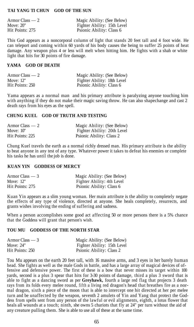## **TAI YANG TI CHUN GOD OF THE SUN**

| Armor Class $-2$ | Magic Ability: (See Below)  |
|------------------|-----------------------------|
| Move: $20"$      | Fighter Ability: 15th Level |
| Hit Points: 275  | Psionic Ability: Class 6    |

This God appears as a noncorporal column of light that stands 20 feet tall and 4 foot wide. He can teleport and coming within 60 yards of his body causes the being to suffer 25 points of heat damage. Any weapon plus 4 or less will melt when hitting him. He fights with a shah or white light that hits for 30 points of fire damage.

#### **YAMA GOD OF DEATH**

| Armor Class $-2$ | Magic Ability: (See Below)  |
|------------------|-----------------------------|
| Move: $12"$      | Fighter Ability: 18th Level |
| Hit Points: 250  | Psionic Ability: Class 6    |

Yama appears as a normal man and his primary attribute is paralyzing anyone touching him with anything if they do not make their magic saving throw. He can also shapechange and cast 2 death rays from his eyes as the spell.

#### **CHUNG KUEL GOD OF TRUTH AND TESTING**

| Armor Class $-2$ | Magic Ability: (See Below)  |
|------------------|-----------------------------|
| Move: $10"$      | Fighter Ability: 20th Level |
| Hit Points: 225  | Psionic Ability: Class 2    |

Chung Kuel travels the earth as a normal richly dressed man. His primary attribute is the ability to beat anyone in any test of any type. Whatever power it takes to defeat his enemies or complete his tasks he has until the job is done.

## **KUAN YIN GODDESS OF MERCY**

| Armor Class $-3$ | Magic Ability: (See Below) |
|------------------|----------------------------|
| Move: 12"        | Fighter Ability: 4th Level |
| Hit Points: 275  | Psionic Ability: Class 6   |

Kuan Yin appears as a slim young woman. Her main attribute is the ability to completely negate the effects of any type of violence, directed at anyone. She heals completely, resurrects, and grants wishes involving the ending of suffering and sadness.

When a person accomplishes some good act affecting 50 or more persons there is a 5% chance that the Goddess will grant that person's wish.

#### **TOU MU GODDESS OF THE NORTH STAR**

| Armor Class $-3$ | Magic Ability: (See Below)  |
|------------------|-----------------------------|
| Move: $24"$      | Fighter Ability: 15th Level |
| Hit Points: 250  | Psionic Ability: Class 2    |

Tou Mu appears on the earth 20 feet tall, with 16 massive arms, and 3 eyes in her barely human head. She fights as well as the male Gods in battle, and has a large array of magical devices of offensive and defensive power. The first of these is a bow that never misses its target within 100 yards, second is a plus 3 spear that hits for 3-30 points of damage, third a plus 3 sword that is able to fight as a dancing sword as per **Greyhawk,** fourth a large red flag that projects 3 death rays from its folds every melee round, fifth a living red dragon's head that breathes fire as a normal dragon, sixth a piece of the moon that is able to intercept one hit directed at her per melee turn and be unaffected by the weapon, seventh 2 amulets of Yin and Yang that protect the Goddess from spells sent from any person of the lawful or evil alignments, eighth, a lotus flower that heals all wounds at a touch; ninth, she owns 5 chariots that fly at 24" per turn without the aid of any creature pulling them. She is able to use all of these at the same time.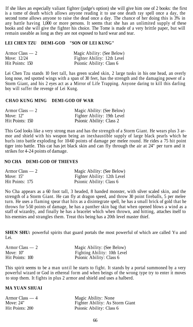If she likes an especially valiant fighter (judge's option) she will give him one of 2 books: the first is a tome of death which allows anyone reading it to use one death ray spell once a day, the second tome allows anyone to raise the dead once a day. The chance of her doing this is 3% in any battle having 1,000 or more persons. It seems that she has an unlimited supply of these books and she will give the fighter his choice. The Tome is made of a very brittle paper, but will remain useable as long as they are not exposed to hard wear and tear.

### **LEI CHEN TZU DEMI-GOD "SON OF LEI KUNG"**

| Armor Class $-2$ | Magic Ability: (See Below)  |
|------------------|-----------------------------|
| Move: 12/24      | Fighter Ability: 12th Level |
| Hit Points: 150  | Psionic Ability: Class 6    |

Lei Chen Tzu stands 10 feet tall, has green scaled skin, 2 large tusks in his one head, an overly long nose, red spotted wings with a span of 30 feet, has the strength and the damaging power of a Storm Giant, and his 2 eyes act as a Mirror of Life Trapping. Anyone daring to kill this darling boy will suffer the revenge of Lei Kung.

## **CHAO KUNG MING DEMI-GOD OF WAR**

| Armor Class $-2$ | Magic Ability: (See Below)  |
|------------------|-----------------------------|
| Move: 12"        | Fighter Ability: 19th Level |
| Hit Points: 150  | Psionic Ability: Class 2    |

This God looks like a very strong man and has the strength of a Storm Giant. He wears plus 3 armor and shield with his weapon being an inexhaustible supply of large black pearls which he hurls into battle exploding for 10-60 points of damage per melee round. He rides a 75 hit point tiger into battle. This cat has jet black skin and can fly through the air at 24" per turn and it strikes for 4-24 points of damage.

#### **NO CHA DEMI-GOD OF THIEVES**

| Armor Class — 2 | Magic Ability: (See Below)  |
|-----------------|-----------------------------|
| Move: 15"       | Fighter Ability: 12th Level |
| Hit Points: 175 | Psionic Ability: Class 6    |

No Cha appears as a 60 foot tall, 3 headed, 8 handed monster, with silver scaled skin, and the strength of a Storm Giant. He can fly at dragon speed, and throw 30 point fireballs, 5 per melee turn. He uses a flaming spear that hits as a disintegrate spell, he has a small brick of gold that he throws for 5-50 points of damage, he has a panther skin bag that when opened blows a wind as a staff of wizardry, and finally he has a bracelet which when thrown, and hitting, attaches itself to his enemies and strangles them. Treat this being has a 20th level master thief.

**SHEN SHU:** powerful spirits that guard portals the most powerful of which are called Yu and Lei.

| Armor Class — 2 | Magic Ability: (See Below)   |
|-----------------|------------------------------|
| Move: $10"$     | Fighting Ability: 10th Level |
| Hit Points: 100 | Psionic Ability: Class 6     |

This spirit seems to be a man until he starts to fight. It stands by a portal summoned by a very powerful wizard or God in ethereal form and when beings of the wrong type try to enter it moves to stop them. It fights in plus 2 armor and shield and uses a halberd.

# **MA YUAN SHUAI**

| Armor Class $-4$ | Magic Ability: None             |
|------------------|---------------------------------|
| Move: $24"$      | Fighter Ability: As Storm Giant |
| Hit Points: 200  | Psionic Ability: Class 6        |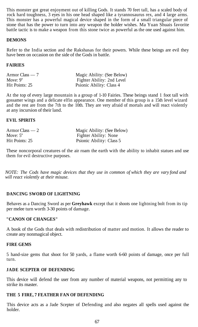This monster got great enjoyment out of killing Gods. It stands 70 feet tall, has a scaled body of rock hard toughness, 3 eyes in his one head shaped like a tyrannosaurus rex, and 4 large arms. This monster has a powerful magical device shaped in the form of a small triangular piece of stone that has the power to turn into any weapon the holder wishes. Ma Yuan Shuais favorite battle tactic is to make a weapon from this stone twice as powerful as the one used against him.

## **DEMONS**

Refer to the India section and the Rakshasas for their powers. While these beings are evil they have been on occasion on the side of the Gods in battle.

# **FAIRIES**

| Armor Class — 7 | Magic Ability: (See Below) |
|-----------------|----------------------------|
| Move: $9"$      | Fighter Ability: 2nd Level |
| Hit Points: 25  | Psionic Ability: Class 4   |

At the top of every large mountain is a group of 1-10 Fairies. These beings stand 1 foot tall with gossamer wings and a delicate elfin appearance. One member of this group is a 15th level wizard and the rest are from the 7th to the 10th. They are very afraid of mortals and will react violently at any incursion of their land.

## **EVIL SPIRITS**

| Armor Class — 2 | Magic Ability: (See Below) |
|-----------------|----------------------------|
| Move: $5"$      | Fighter Ability: None      |
| Hit Points: 25  | Psionic Ability: Class 5   |

These noncorporal creatures of the air roam the earth with the ability to inhabit statues and use them for evil destructive purposes.

*NOTE: The Cods have magic devices that they use in common of which they are vary fond and will react violently at their misuse.*

## **DANCING SWORD OF LIGHTNING**

Behaves as a Dancing Sword as per **Greyhawk** except that it shoots one lightning bolt from its tip per melee turn worth 3-30 points of damage.

## **"CANON OF CHANGES"**

A book of the Gods that deals with redistribution of matter and motion. It allows the reader to create any nonmagical object.

#### **FIRE GEMS**

5 hand-size gems that shoot for 50 yards, a flame worth 6-60 points of damage, once per full turn.

# **JADE SCEPTER OF DEFENDING**

This device will defend the user from any number of material weapons, not permitting any to strike its master.

#### **THE 5 FIRE, 7 FEATHER FAN OF DEFENDING**

This device acts as a Jade Scepter of Defending and also negates all spells used against the holder.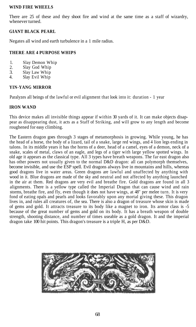### **WIND FIRE WHEELS**

There are 25 of these and they shoot fire and wind at the same time as a staff of wizardry, whenever turned.

# **GIANT BLACK PEARL**

Negates all wind and earth turbulence in a 1 mile radius.

## **THERE ARE 4 PURPOSE WHIPS**

- 1. Slay Demon Whip
- $\mathcal{L}$ Slay God Whip
- 3. Slay Law Whip
- 4. Slay Evil Whip

## **YIN-YANG MIRROR**

Paralyzes all beings of the lawful or evil alignment that look into it: duration - 1 year

## **IRON WAND**

This device makes all invisible things appear if within 30 yards of it. It can make objects disappear as disappearing dust, it acts as a Staff of Striking, and will grow to any length and become roughened for easy climbing.

The Eastern dragon goes through 3 stages of metamorphosis in growing. While young, he has the head of a horse, the body of a lizard, tail of a snake, large red wings, and 4 lion legs ending in talons. In its middle years it has the horns of a deer, head of a camel, eyes of a demon, neck of a snake, scales of metal, claws of an eagle, and legs of a tiger with large yellow spotted wings. In old age it appears as the classical type. All 3 types have breath weapons. The far east dragon also has other powers not usually given to the normal D&D dragon: all can polymorph themselves, become invisible, and use the ESP spell. Evil dragons always live in mountains and hills, whereas good dragons live in water areas. Green dragons are lawful and unaffected by anything with wood in it. Blue dragons are made of the sky and neutral and not affected by anything launched in the air at them. Red dragons are very evil and breathe fire. Gold dragons are found in all 3 alignments. There is a yellow type called the Imperial Dragon that can cause wind and rain storms, breathe fire, and fly, even though it does not have wings, at 48" per melee turn. It is very fond of eating opals and pearls and looks favorably upon any mortal giving these. This dragon lives in, and rules all creatures of, the sea. There is also a dragon of treasure whose skin is made of gems and gold. It attracts treasure to its body like a magnet to iron. Its armor class is -5 because of the great number of gems and gold on its body. It has a breath weapon of double strength, shooting distance, and number of times useable as a gold dragon. It and the imperial dragon take 100 hit points. This dragon's treasure is a triple H, as per D&D.